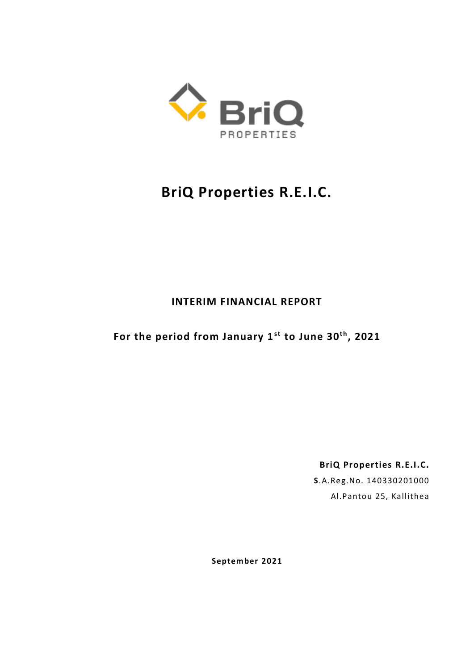

## **BriQ Properties R.E.I.C.**

## **INTERIM FINANCIAL REPORT**

**For the period from January 1st to June 30t h, 2021**

**BriQ Properties R.E.I.C. S**.A.Reg.No. 140330201000 Al.Pantou 25, Kallithea

**September 2021**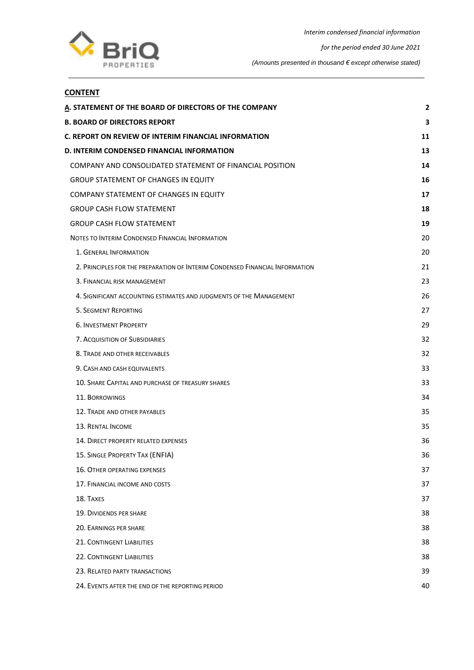

## **CONTENT**

| A. STATEMENT OF THE BOARD OF DIRECTORS OF THE COMPANY                        | 2  |
|------------------------------------------------------------------------------|----|
| <b>B. BOARD OF DIRECTORS REPORT</b>                                          | з  |
| C. REPORT ON REVIEW OF INTERIM FINANCIAL INFORMATION                         | 11 |
| D. INTERIM CONDENSED FINANCIAL INFORMATION                                   | 13 |
| COMPANY AND CONSOLIDATED STATEMENT OF FINANCIAL POSITION                     | 14 |
| <b>GROUP STATEMENT OF CHANGES IN EQUITY</b>                                  | 16 |
| <b>COMPANY STATEMENT OF CHANGES IN EQUITY</b>                                | 17 |
| <b>GROUP CASH FLOW STATEMENT</b>                                             | 18 |
| <b>GROUP CASH FLOW STATEMENT</b>                                             | 19 |
| NOTES TO INTERIM CONDENSED FINANCIAL INFORMATION                             | 20 |
| 1. GENERAL INFORMATION                                                       | 20 |
| 2. PRINCIPLES FOR THE PREPARATION OF INTERIM CONDENSED FINANCIAL INFORMATION | 21 |
| 3. FINANCIAL RISK MANAGEMENT                                                 | 23 |
| 4. SIGNIFICANT ACCOUNTING ESTIMATES AND JUDGMENTS OF THE MANAGEMENT          | 26 |
| <b>5. SEGMENT REPORTING</b>                                                  | 27 |
| <b>6. INVESTMENT PROPERTY</b>                                                | 29 |
| 7. ACQUISITION OF SUBSIDIARIES                                               | 32 |
| 8. TRADE AND OTHER RECEIVABLES                                               | 32 |
| 9. CASH AND CASH EQUIVALENTS                                                 | 33 |
| 10. SHARE CAPITAL AND PURCHASE OF TREASURY SHARES                            | 33 |
| <b>11. BORROWINGS</b>                                                        | 34 |
| 12. TRADE AND OTHER PAYABLES                                                 | 35 |
| <b>13. RENTAL INCOME</b>                                                     | 35 |
| 14. DIRECT PROPERTY RELATED EXPENSES                                         | 36 |
| 15. SINGLE PROPERTY TAX (ENFIA)                                              | 36 |
| <b>16. OTHER OPERATING EXPENSES</b>                                          | 37 |
| 17. FINANCIAL INCOME AND COSTS                                               | 37 |
| 18. TAXES                                                                    | 37 |
| <b>19. DIVIDENDS PER SHARE</b>                                               | 38 |
| 20. EARNINGS PER SHARE                                                       | 38 |
| <b>21. CONTINGENT LIABILITIES</b>                                            | 38 |
| 22. CONTINGENT LIABILITIES                                                   | 38 |
| 23. RELATED PARTY TRANSACTIONS                                               | 39 |
| 24. EVENTS AFTER THE END OF THE REPORTING PERIOD                             | 40 |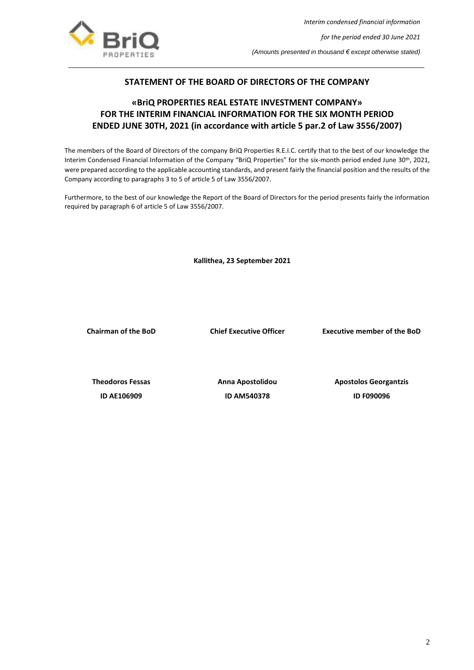

## **STATEMENT OF THE BOARD OF DIRECTORS OF THE COMPANY**

## <span id="page-2-0"></span>**«BriQ PROPERTIES REAL ESTATE INVESTMENT COMPANY» FOR THE INTERIM FINANCIAL INFORMATION FOR THE SIX MONTH PERIOD ENDED JUNE 30TH, 2021 (in accordance with article 5 par.2 of Law 3556/2007)**

The members of the Board of Directors of the company BriQ Properties R.E.I.C. certify that to the best of our knowledge the Interim Condensed Financial Information of the Company "BriQ Properties" for the six-month period ended June 30<sup>th</sup>, 2021, were prepared according to the applicable accounting standards, and present fairly the financial position and the results of the Company according to paragraphs 3 to 5 of article 5 of Law 3556/2007.

Furthermore, to the best of our knowledge the Report of the Board of Directors for the period presents fairly the information required by paragraph 6 of article 5 of Law 3556/2007.

 **Kallithea, 23 September 2021**

**Chairman of the BoD Chief Executive Officer Executive member of the BoD**

**ID AΕ106909 ID AΜ540378 ID F090096**

**Theodoros Fessas Anna Apostolidou Apostolos Georgantzis**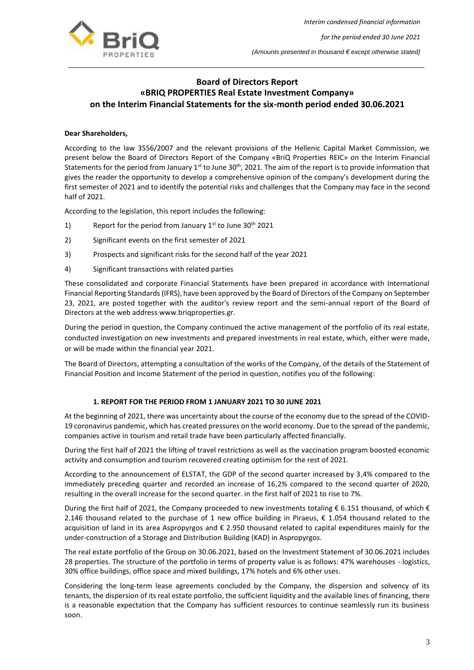

## <span id="page-3-0"></span>**Board of Directors Report «BRIQ PROPERTIES Real Estate Investment Company» on the Interim Financial Statements for the six-month period ended 30.06.2021**

#### **Dear Shareholders,**

According to the law 3556/2007 and the relevant provisions of the Hellenic Capital Market Commission, we present below the Board of Directors Report of the Company «BriQ Properties REIC» on the Interim Financial Statements for the period from January  $1^{st}$  to June  $30^{th}$ , 2021. The aim of the report is to provide information that gives the reader the opportunity to develop a comprehensive opinion of the company's development during the first semester of 2021 and to identify the potential risks and challenges that the Company may face in the second half of 2021.

According to the legislation, this report includes the following:

- 1) Report for the period from January  $1<sup>st</sup>$  to June 30<sup>th</sup> 2021
- 2) Significant events on the first semester of 2021
- 3) Prospects and significant risks for the second half of the year 2021
- 4) Significant transactions with related parties

These consolidated and corporate Financial Statements have been prepared in accordance with International Financial Reporting Standards (IFRS), have been approved by the Board of Directors of the Company on September 23, 2021, are posted together with the auditor's review report and the semi-annual report of the Board of Directors at the web address www.briqproperties.gr.

During the period in question, the Company continued the active management of the portfolio of its real estate, conducted investigation on new investments and prepared investments in real estate, which, either were made, or will be made within the financial year 2021.

The Board of Directors, attempting a consultation of the works of the Company, of the details of the Statement of Financial Position and Income Statement of the period in question, notifies you of the following:

#### **1. REPORT FOR THE PERIOD FROM 1 JANUARY 2021 TO 30 JUNE 2021**

At the beginning of 2021, there was uncertainty about the course of the economy due to the spread of the COVID-19 coronavirus pandemic, which has created pressures on the world economy. Due to the spread of the pandemic, companies active in tourism and retail trade have been particularly affected financially.

During the first half of 2021 the lifting of travel restrictions as well as the vaccination program boosted economic activity and consumption and tourism recovered creating optimism for the rest of 2021.

According to the announcement of ELSTAT, the GDP of the second quarter increased by 3,4% compared to the immediately preceding quarter and recorded an increase of 16,2% compared to the second quarter of 2020, resulting in the overall increase for the second quarter. in the first half of 2021 to rise to 7%.

During the first half of 2021, the Company proceeded to new investments totaling € 6.151 thousand, of which € 2.146 thousand related to the purchase of 1 new office building in Piraeus, € 1.054 thousand related to the acquisition of land in its area Aspropyrgos and € 2.950 thousand related to capital expenditures mainly for the under-construction of a Storage and Distribution Building (KAD) in Aspropyrgos.

The real estate portfolio of the Group on 30.06.2021, based on the Investment Statement of 30.06.2021 includes 28 properties. The structure of the portfolio in terms of property value is as follows: 47% warehouses - logistics, 30% office buildings, office space and mixed buildings, 17% hotels and 6% other uses.

Considering the long-term lease agreements concluded by the Company, the dispersion and solvency of its tenants, the dispersion of its real estate portfolio, the sufficient liquidity and the available lines of financing, there is a reasonable expectation that the Company has sufficient resources to continue seamlessly run its business soon.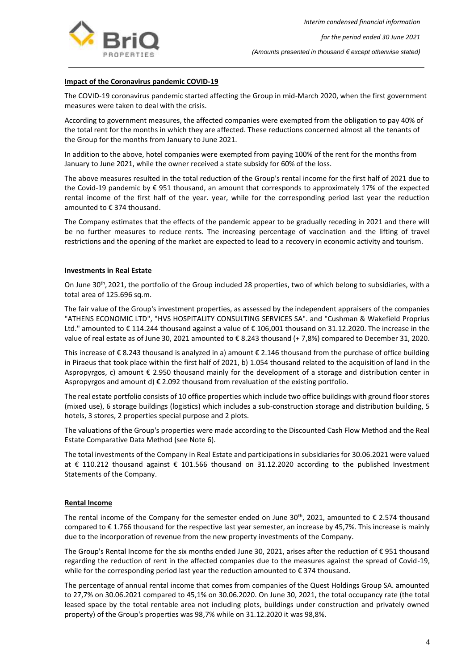

## **Impact of the Coronavirus pandemic COVID-19**

The COVID-19 coronavirus pandemic started affecting the Group in mid-March 2020, when the first government measures were taken to deal with the crisis.

According to government measures, the affected companies were exempted from the obligation to pay 40% of the total rent for the months in which they are affected. These reductions concerned almost all the tenants of the Group for the months from January to June 2021.

In addition to the above, hotel companies were exempted from paying 100% of the rent for the months from January to June 2021, while the owner received a state subsidy for 60% of the loss.

The above measures resulted in the total reduction of the Group's rental income for the first half of 2021 due to the Covid-19 pandemic by € 951 thousand, an amount that corresponds to approximately 17% of the expected rental income of the first half of the year. year, while for the corresponding period last year the reduction amounted to € 374 thousand.

The Company estimates that the effects of the pandemic appear to be gradually receding in 2021 and there will be no further measures to reduce rents. The increasing percentage of vaccination and the lifting of travel restrictions and the opening of the market are expected to lead to a recovery in economic activity and tourism.

#### **Investments in Real Estate**

On June 30<sup>th</sup>, 2021, the portfolio of the Group included 28 properties, two of which belong to subsidiaries, with a total area of 125.696 sq.m.

The fair value of the Group's investment properties, as assessed by the independent appraisers of the companies "ATHENS ECONOMIC LTD", "HVS HOSPITALITY CONSULTING SERVICES SA". and "Cushman & Wakefield Proprius Ltd." amounted to € 114.244 thousand against a value of € 106,001 thousand on 31.12.2020. The increase in the value of real estate as of June 30, 2021 amounted to € 8.243 thousand (+ 7,8%) compared to December 31, 2020.

This increase of € 8.243 thousand is analyzed in a) amount € 2.146 thousand from the purchase of office building in Piraeus that took place within the first half of 2021, b) 1.054 thousand related to the acquisition of land in the Aspropyrgos, c) amount € 2.950 thousand mainly for the development of a storage and distribution center in Aspropyrgos and amount  $d \in 2.092$  thousand from revaluation of the existing portfolio.

The real estate portfolio consists of 10 office properties which include two office buildings with ground floor stores (mixed use), 6 storage buildings (logistics) which includes a sub-construction storage and distribution building, 5 hotels, 3 stores, 2 properties special purpose and 2 plots.

The valuations of the Group's properties were made according to the Discounted Cash Flow Method and the Real Estate Comparative Data Method (see Note 6).

The total investments of the Company in Real Estate and participations in subsidiaries for 30.06.2021 were valued at € 110.212 thousand against € 101.566 thousand on 31.12.2020 according to the published Investment Statements of the Company.

#### **Rental Income**

The rental income of the Company for the semester ended on June 30<sup>th</sup>, 2021, amounted to  $\epsilon$  2.574 thousand compared to  $\epsilon$  1.766 thousand for the respective last year semester, an increase by 45,7%. This increase is mainly due to the incorporation of revenue from the new property investments of the Company.

The Group's Rental Income for the six months ended June 30, 2021, arises after the reduction of € 951 thousand regarding the reduction of rent in the affected companies due to the measures against the spread of Covid-19, while for the corresponding period last year the reduction amounted to  $\epsilon$  374 thousand.

The percentage of annual rental income that comes from companies of the Quest Holdings Group SA. amounted to 27,7% on 30.06.2021 compared to 45,1% on 30.06.2020. On June 30, 2021, the total occupancy rate (the total leased space by the total rentable area not including plots, buildings under construction and privately owned property) of the Group's properties was 98,7% while on 31.12.2020 it was 98,8%.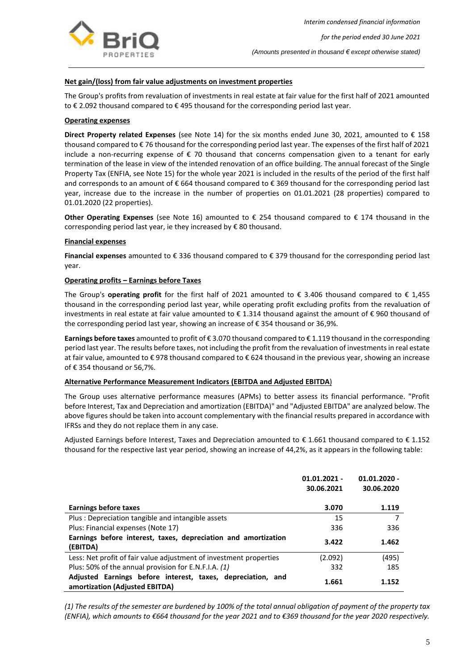

## **Net gain/(loss) from fair value adjustments on investment properties**

The Group's profits from revaluation of investments in real estate at fair value for the first half of 2021 amounted to € 2.092 thousand compared to € 495 thousand for the corresponding period last year.

#### **Operating expenses**

**Direct Property related Expenses** (see Note 14) for the six months ended June 30, 2021, amounted to € 158 thousand compared to € 76 thousand for the corresponding period last year. The expenses of the first half of 2021 include a non-recurring expense of  $\epsilon$  70 thousand that concerns compensation given to a tenant for early termination of the lease in view of the intended renovation of an office building. The annual forecast of the Single Property Tax (ENFIA, see Note 15) for the whole year 2021 is included in the results of the period of the first half and corresponds to an amount of € 664 thousand compared to € 369 thousand for the corresponding period last year, increase due to the increase in the number of properties on 01.01.2021 (28 properties) compared to 01.01.2020 (22 properties).

**Other Operating Expenses** (see Note 16) amounted to € 254 thousand compared to € 174 thousand in the corresponding period last year, ie they increased by  $\epsilon$  80 thousand.

#### **Financial expenses**

**Financial expenses** amounted to € 336 thousand compared to € 379 thousand for the corresponding period last year.

#### **Operating profits – Earnings before Taxes**

The Group's **operating profit** for the first half of 2021 amounted to  $\epsilon$  3.406 thousand compared to  $\epsilon$  1,455 thousand in the corresponding period last year, while operating profit excluding profits from the revaluation of investments in real estate at fair value amounted to € 1.314 thousand against the amount of € 960 thousand of the corresponding period last year, showing an increase of € 354 thousand or 36,9%.

**Earnings before taxes** amounted to profit of € 3.070 thousand compared to € 1.119 thousand in the corresponding period last year. The results before taxes, not including the profit from the revaluation of investments in real estate at fair value, amounted to € 978 thousand compared to € 624 thousand in the previous year, showing an increase of € 354 thousand or 56,7%.

#### **Alternative Performance Measurement Indicators (EBITDA and Adjusted EBITDA**)

The Group uses alternative performance measures (ΑΡΜs) to better assess its financial performance. "Profit before Interest, Tax and Depreciation and amortization (EBITDA)" and "Adjusted EBITDA" are analyzed below. The above figures should be taken into account complementary with the financial results prepared in accordance with IFRSs and they do not replace them in any case.

Adjusted Earnings before Interest, Taxes and Depreciation amounted to € 1.661 thousand compared to € 1.152 thousand for the respective last year period, showing an increase of 44,2%, as it appears in the following table:

|                                                                    | $01.01.2021 -$ | $01.01.2020 -$ |
|--------------------------------------------------------------------|----------------|----------------|
|                                                                    | 30.06.2021     | 30.06.2020     |
|                                                                    |                |                |
| Earnings before taxes                                              | 3.070          | 1.119          |
| Plus: Depreciation tangible and intangible assets                  | 15             | 7              |
| Plus: Financial expenses (Note 17)                                 | 336            | 336            |
| Earnings before interest, taxes, depreciation and amortization     | 3.422          | 1.462          |
| (EBITDA)                                                           |                |                |
| Less: Net profit of fair value adjustment of investment properties | (2.092)        | (495)          |
| Plus: 50% of the annual provision for E.N.F.I.A. (1)               | 332            | 185            |
| Adjusted Earnings before interest, taxes, depreciation, and        | 1.661          | 1.152          |
| amortization (Adjusted EBITDA)                                     |                |                |

*(1) The results of the semester are burdened by 100% of the total annual obligation of payment of the property tax (ENFIA), which amounts to €664 thousand for the year 2021 and to €369 thousand for the year 2020 respectively.*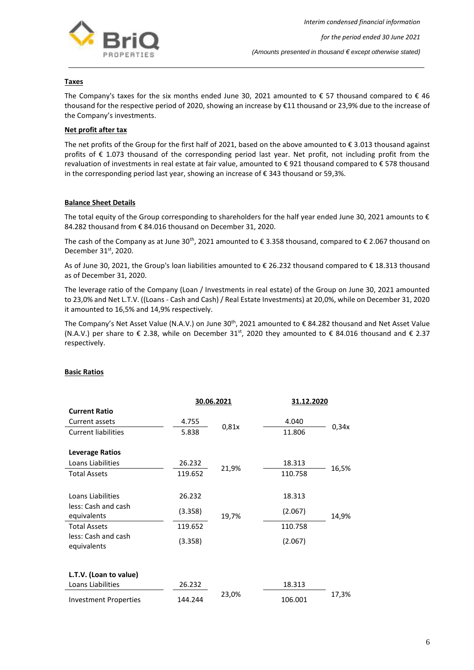

## **Taxes**

The Company's taxes for the six months ended June 30, 2021 amounted to  $\epsilon$  57 thousand compared to  $\epsilon$  46 thousand for the respective period of 2020, showing an increase by €11 thousand or 23,9% due to the increase of the Company's investments.

#### **Net profit after tax**

The net profits of the Group for the first half of 2021, based on the above amounted to  $\epsilon$  3.013 thousand against profits of € 1.073 thousand of the corresponding period last year. Net profit, not including profit from the revaluation of investments in real estate at fair value, amounted to € 921 thousand compared to € 578 thousand in the corresponding period last year, showing an increase of € 343 thousand or 59,3%.

#### **Balance Sheet Details**

The total equity of the Group corresponding to shareholders for the half year ended June 30, 2021 amounts to  $\epsilon$ 84.282 thousand from € 84.016 thousand on December 31, 2020.

The cash of the Company as at June 30<sup>th</sup>, 2021 amounted to  $\epsilon$  3.358 thousand, compared to  $\epsilon$  2.067 thousand on December 31<sup>st</sup>, 2020.

As of June 30, 2021, the Group's loan liabilities amounted to € 26.232 thousand compared to € 18.313 thousand as of December 31, 2020.

The leverage ratio of the Company (Loan / Investments in real estate) of the Group on June 30, 2021 amounted to 23,0% and Net L.T.V. ((Loans - Cash and Cash) / Real Estate Investments) at 20,0%, while on December 31, 2020 it amounted to 16,5% and 14,9% respectively.

The Company's Net Asset Value (N.A.V.) on June 30<sup>th</sup>, 2021 amounted to € 84.282 thousand and Net Asset Value (N.A.V.) per share to  $\epsilon$  2.38, while on December 31<sup>st</sup>, 2020 they amounted to  $\epsilon$  84.016 thousand and  $\epsilon$  2.37 respectively.

|                                    | 30.06.2021 |       | 31.12.2020 |       |
|------------------------------------|------------|-------|------------|-------|
| <b>Current Ratio</b>               |            |       |            |       |
| Current assets                     | 4.755      |       | 4.040      |       |
| <b>Current liabilities</b>         | 5.838      | 0,81x | 11.806     | 0,34x |
| <b>Leverage Ratios</b>             |            |       |            |       |
| Loans Liabilities                  | 26.232     |       | 18.313     |       |
| <b>Total Assets</b>                | 119.652    | 21,9% | 110.758    | 16,5% |
| Loans Liabilities                  | 26.232     |       | 18.313     |       |
| less: Cash and cash<br>equivalents | (3.358)    | 19,7% | (2.067)    | 14,9% |
| <b>Total Assets</b>                | 119.652    |       | 110.758    |       |
| less: Cash and cash<br>equivalents | (3.358)    |       | (2.067)    |       |
|                                    |            |       |            |       |
| L.T.V. (Loan to value)             |            |       |            |       |
| Loans Liabilities                  | 26.232     |       | 18.313     |       |
| <b>Investment Properties</b>       | 144.244    | 23,0% | 106.001    | 17,3% |

#### **Basic Ratios**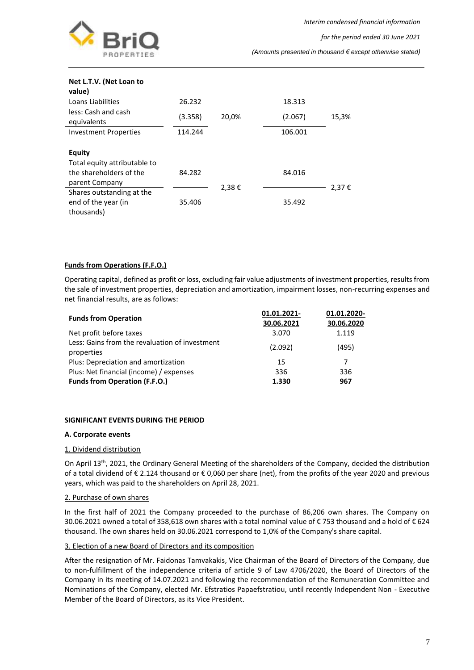

*for the period ended 30 June 2021*

*(Amounts presented in thousand € except otherwise stated)*

| Net L.T.V. (Net Loan to<br>value)                                        |         |       |         |       |
|--------------------------------------------------------------------------|---------|-------|---------|-------|
| Loans Liabilities                                                        | 26.232  |       | 18.313  |       |
| less: Cash and cash<br>equivalents                                       | (3.358) | 20,0% | (2.067) | 15,3% |
| <b>Investment Properties</b>                                             | 114.244 |       | 106.001 |       |
| <b>Equity</b><br>Total equity attributable to<br>the shareholders of the | 84.282  |       | 84.016  |       |
| parent Company                                                           |         | 2,38€ |         | 2,37€ |
| Shares outstanding at the<br>end of the year (in<br>thousands)           | 35.406  |       | 35.492  |       |

#### **Funds from Operations (F.F.O.)**

Operating capital, defined as profit or loss, excluding fair value adjustments of investment properties, results from the sale of investment properties, depreciation and amortization, impairment losses, non-recurring expenses and net financial results, are as follows:

|                                                              | 01.01.2021- | 01.01.2020- |
|--------------------------------------------------------------|-------------|-------------|
| <b>Funds from Operation</b>                                  | 30.06.2021  | 30.06.2020  |
| Net profit before taxes                                      | 3.070       | 1.119       |
| Less: Gains from the revaluation of investment<br>properties | (2.092)     | (495)       |
| Plus: Depreciation and amortization                          | 15          | 7           |
| Plus: Net financial (income) / expenses                      | 336         | 336         |
| <b>Funds from Operation (F.F.O.)</b>                         | 1.330       | 967         |

#### **SIGNIFICANT EVENTS DURING THE PERIOD**

#### **A. Corporate events**

#### 1. Dividend distribution

On April 13th, 2021, the Ordinary General Meeting of the shareholders of the Company, decided the distribution of a total dividend of € 2.124 thousand or € 0,060 per share (net), from the profits of the year 2020 and previous years, which was paid to the shareholders on April 28, 2021.

#### 2. Purchase of own shares

In the first half of 2021 the Company proceeded to the purchase of 86,206 own shares. The Company on 30.06.2021 owned a total of 358,618 own shares with a total nominal value of € 753 thousand and a hold of € 624 thousand. The own shares held on 30.06.2021 correspond to 1,0% of the Company's share capital.

#### 3. Election of a new Board of Directors and its composition

Αfter the resignation of Mr. Faidonas Tamvakakis, Vice Chairman of the Board of Directors of the Company, due to non-fulfillment of the independence criteria of article 9 of Law 4706/2020, the Board of Directors of the Company in its meeting of 14.07.2021 and following the recommendation of the Remuneration Committee and Nominations of the Company, elected Mr. Efstratios Papaefstratiou, until recently Independent Non - Executive Member of the Board of Directors, as its Vice President.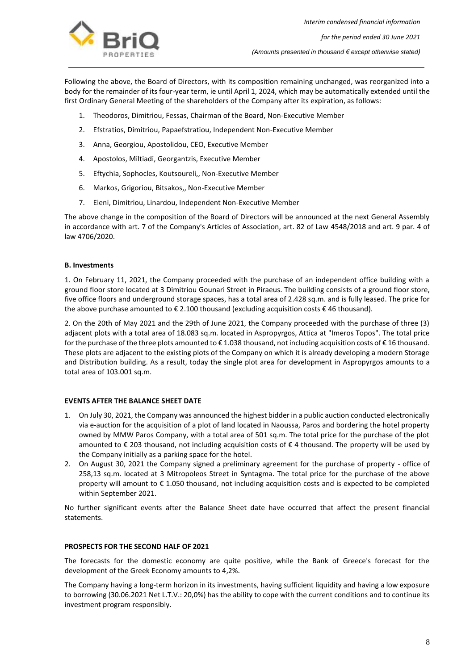

Following the above, the Board of Directors, with its composition remaining unchanged, was reorganized into a body for the remainder of its four-year term, ie until April 1, 2024, which may be automatically extended until the first Ordinary General Meeting of the shareholders of the Company after its expiration, as follows:

- 1. Theodoros, Dimitriou, Fessas, Chairman of the Board, Non-Executive Member
- 2. Efstratios, Dimitriou, Papaefstratiou, Independent Non-Executive Member
- 3. Anna, Georgiou, Apostolidou, CEO, Executive Member
- 4. Apostolos, Miltiadi, Georgantzis, Executive Member
- 5. Eftychia, Sophocles, Koutsoureli,, Non-Executive Member
- 6. Markos, Grigoriou, Bitsakos,, Non-Executive Member
- 7. Eleni, Dimitriou, Linardou, Independent Non-Executive Member

The above change in the composition of the Board of Directors will be announced at the next General Assembly in accordance with art. 7 of the Company's Articles of Association, art. 82 of Law 4548/2018 and art. 9 par. 4 of law 4706/2020.

#### **Β. Investments**

1. On February 11, 2021, the Company proceeded with the purchase of an independent office building with a ground floor store located at 3 Dimitriou Gounari Street in Piraeus. The building consists of a ground floor store, five office floors and underground storage spaces, has a total area of 2.428 sq.m. and is fully leased. The price for the above purchase amounted to € 2.100 thousand (excluding acquisition costs € 46 thousand).

2. On the 20th of May 2021 and the 29th of June 2021, the Company proceeded with the purchase of three (3) adjacent plots with a total area of 18.083 sq.m. located in Aspropyrgos, Attica at "Imeros Topos". The total price for the purchase of the three plots amounted to € 1.038 thousand, not including acquisition costs of € 16 thousand. These plots are adjacent to the existing plots of the Company on which it is already developing a modern Storage and Distribution building. As a result, today the single plot area for development in Aspropyrgos amounts to a total area of 103.001 sq.m.

#### **EVENTS AFTER THE BALANCE SHEET DATE**

- 1. On July 30, 2021, the Company was announced the highest bidder in a public auction conducted electronically via e-auction for the acquisition of a plot of land located in Naoussa, Paros and bordering the hotel property owned by MMW Paros Company, with a total area of 501 sq.m. The total price for the purchase of the plot amounted to € 203 thousand, not including acquisition costs of € 4 thousand. The property will be used by the Company initially as a parking space for the hotel.
- 2. On August 30, 2021 the Company signed a preliminary agreement for the purchase of property office of 258,13 sq.m. located at 3 Mitropoleos Street in Syntagma. The total price for the purchase of the above property will amount to € 1.050 thousand, not including acquisition costs and is expected to be completed within September 2021.

No further significant events after the Balance Sheet date have occurred that affect the present financial statements.

#### **PROSPECTS FOR THE SECOND HALF OF 2021**

The forecasts for the domestic economy are quite positive, while the Bank of Greece's forecast for the development of the Greek Economy amounts to 4,2%.

The Company having a long-term horizon in its investments, having sufficient liquidity and having a low exposure to borrowing (30.06.2021 Net L.T.V.: 20,0%) has the ability to cope with the current conditions and to continue its investment program responsibly.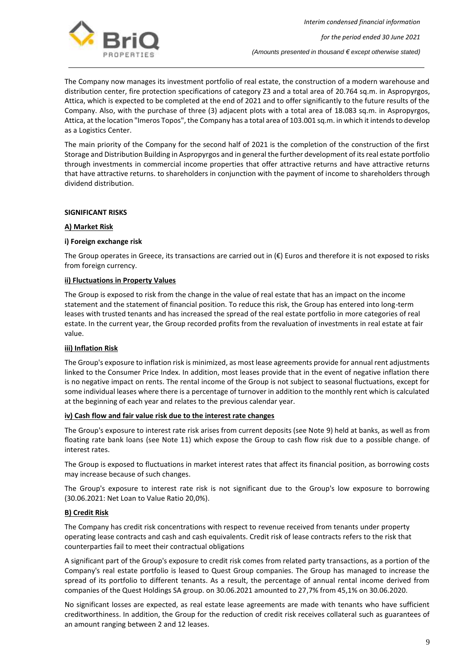

The Company now manages its investment portfolio of real estate, the construction of a modern warehouse and distribution center, fire protection specifications of category Z3 and a total area of 20.764 sq.m. in Aspropyrgos, Attica, which is expected to be completed at the end of 2021 and to offer significantly to the future results of the Company. Also, with the purchase of three (3) adjacent plots with a total area of 18.083 sq.m. in Aspropyrgos, Attica, at the location "Imeros Topos", the Company has a total area of 103.001 sq.m. in which it intends to develop as a Logistics Center.

The main priority of the Company for the second half of 2021 is the completion of the construction of the first Storage and Distribution Building in Aspropyrgos and in general the further development of its real estate portfolio through investments in commercial income properties that offer attractive returns and have attractive returns that have attractive returns. to shareholders in conjunction with the payment of income to shareholders through dividend distribution.

#### **SIGNIFICANT RISKS**

#### **A) Market Risk**

#### **i) Foreign exchange risk**

The Group operates in Greece, its transactions are carried out in (€) Euros and therefore it is not exposed to risks from foreign currency.

#### **ii) Fluctuations in Property Values**

The Group is exposed to risk from the change in the value of real estate that has an impact on the income statement and the statement of financial position. To reduce this risk, the Group has entered into long-term leases with trusted tenants and has increased the spread of the real estate portfolio in more categories of real estate. In the current year, the Group recorded profits from the revaluation of investments in real estate at fair value.

#### **iii) Inflation Risk**

The Group's exposure to inflation risk is minimized, as most lease agreements provide for annual rent adjustments linked to the Consumer Price Index. In addition, most leases provide that in the event of negative inflation there is no negative impact on rents. The rental income of the Group is not subject to seasonal fluctuations, except for some individual leases where there is a percentage of turnover in addition to the monthly rent which is calculated at the beginning of each year and relates to the previous calendar year.

#### **iv) Cash flow and fair value risk due to the interest rate changes**

The Group's exposure to interest rate risk arises from current deposits (see Note 9) held at banks, as well as from floating rate bank loans (see Note 11) which expose the Group to cash flow risk due to a possible change. of interest rates.

The Group is exposed to fluctuations in market interest rates that affect its financial position, as borrowing costs may increase because of such changes.

The Group's exposure to interest rate risk is not significant due to the Group's low exposure to borrowing (30.06.2021: Net Loan to Value Ratio 20,0%).

#### **B) Credit Risk**

The Company has credit risk concentrations with respect to revenue received from tenants under property operating lease contracts and cash and cash equivalents. Credit risk of lease contracts refers to the risk that counterparties fail to meet their contractual obligations

A significant part of the Group's exposure to credit risk comes from related party transactions, as a portion of the Company's real estate portfolio is leased to Quest Group companies. The Group has managed to increase the spread of its portfolio to different tenants. As a result, the percentage of annual rental income derived from companies of the Quest Holdings SA group. on 30.06.2021 amounted to 27,7% from 45,1% on 30.06.2020.

No significant losses are expected, as real estate lease agreements are made with tenants who have sufficient creditworthiness. In addition, the Group for the reduction of credit risk receives collateral such as guarantees of an amount ranging between 2 and 12 leases.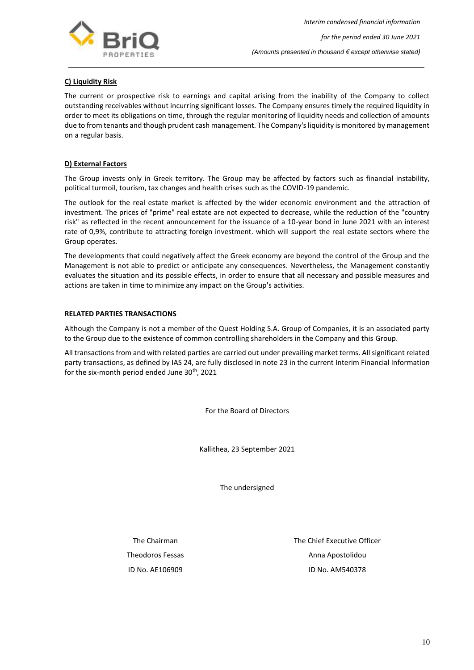

## **C) Liquidity Risk**

The current or prospective risk to earnings and capital arising from the inability of the Company to collect outstanding receivables without incurring significant losses. The Company ensures timely the required liquidity in order to meet its obligations on time, through the regular monitoring of liquidity needs and collection of amounts due to from tenants and though prudent cash management. The Company's liquidity is monitored by management on a regular basis.

#### **D) External Factors**

The Group invests only in Greek territory. The Group may be affected by factors such as financial instability, political turmoil, tourism, tax changes and health crises such as the COVID-19 pandemic.

The outlook for the real estate market is affected by the wider economic environment and the attraction of investment. The prices of "prime" real estate are not expected to decrease, while the reduction of the "country risk" as reflected in the recent announcement for the issuance of a 10-year bond in June 2021 with an interest rate of 0,9%, contribute to attracting foreign investment. which will support the real estate sectors where the Group operates.

The developments that could negatively affect the Greek economy are beyond the control of the Group and the Management is not able to predict or anticipate any consequences. Nevertheless, the Management constantly evaluates the situation and its possible effects, in order to ensure that all necessary and possible measures and actions are taken in time to minimize any impact on the Group's activities.

#### **RELATED PARTIES TRANSACTIONS**

Although the Company is not a member of the Quest Holding S.A. Group of Companies, it is an associated party to the Group due to the existence of common controlling shareholders in the Company and this Group.

All transactions from and with related parties are carried out under prevailing market terms. All significant related party transactions, as defined by IAS 24, are fully disclosed in note 23 in the current Interim Financial Information for the six-month period ended June 30 $^{\text{th}}$ , 2021

For the Board of Directors

Kallithea, 23 September 2021

The undersigned

The Chairman The Chief Executive Officer Theodoros Fessas **Anna Apostolidou Anna Apostolidou** ID No. AΕ106909 ID No. AΜ540378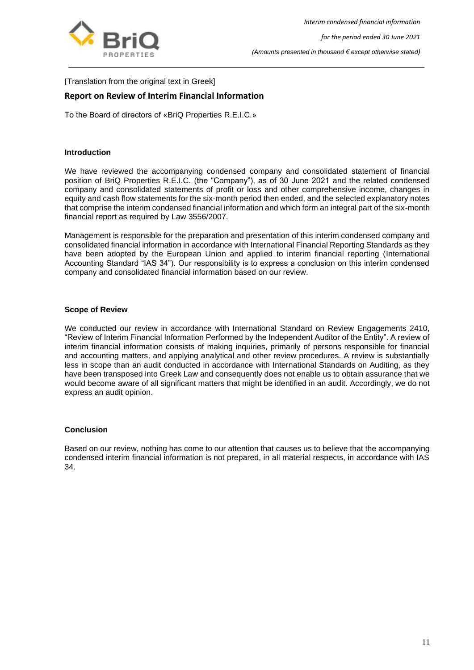

[Translation from the original text in Greek]

## <span id="page-11-0"></span>**Report on Review of Interim Financial Information**

To the Board of directors of «BriQ Properties R.E.I.C.»

#### **Introduction**

We have reviewed the accompanying condensed company and consolidated statement of financial position of BriQ Properties R.E.I.C. (the "Company"), as of 30 June 2021 and the related condensed company and consolidated statements of profit or loss and other comprehensive income, changes in equity and cash flow statements for the six-month period then ended, and the selected explanatory notes that comprise the interim condensed financial information and which form an integral part of the six-month financial report as required by Law 3556/2007.

Management is responsible for the preparation and presentation of this interim condensed company and consolidated financial information in accordance with International Financial Reporting Standards as they have been adopted by the European Union and applied to interim financial reporting (International Accounting Standard "IAS 34"). Our responsibility is to express a conclusion on this interim condensed company and consolidated financial information based on our review.

### **Scope of Review**

We conducted our review in accordance with International Standard on Review Engagements 2410, "Review of Interim Financial Information Performed by the Independent Auditor of the Entity". A review of interim financial information consists of making inquiries, primarily of persons responsible for financial and accounting matters, and applying analytical and other review procedures. A review is substantially less in scope than an audit conducted in accordance with International Standards on Auditing, as they have been transposed into Greek Law and consequently does not enable us to obtain assurance that we would become aware of all significant matters that might be identified in an audit. Accordingly, we do not express an audit opinion.

#### **Conclusion**

Based on our review, nothing has come to our attention that causes us to believe that the accompanying condensed interim financial information is not prepared, in all material respects, in accordance with IAS 34.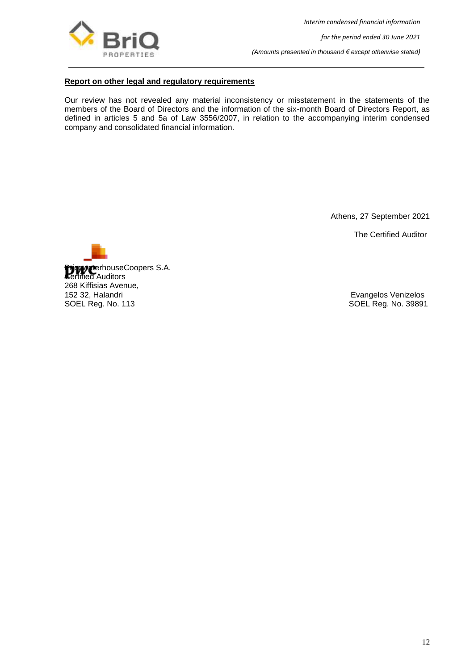

*Interim condensed financial information*

*for the period ended 30 June 2021*

*(Amounts presented in thousand € except otherwise stated)*

## **Report on other legal and regulatory requirements**

Our review has not revealed any material inconsistency or misstatement in the statements of the members of the Board of Directors and the information of the six-month Board of Directors Report, as defined in articles 5 and 5a of Law 3556/2007, in relation to the accompanying interim condensed company and consolidated financial information.

Athens, 27 September 2021

The Certified Auditor



SOEL Reg. No. 39891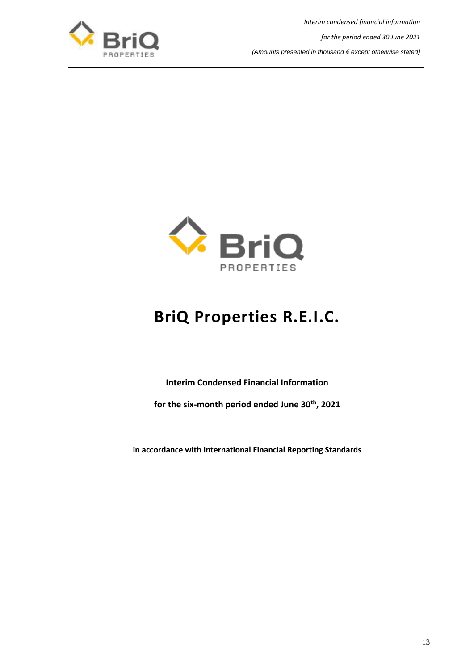

*Interim condensed financial information for the period ended 30 June 2021 (Amounts presented in thousand € except otherwise stated)*



# **BriQ Properties R.E.I.C.**

**Interim Condensed Financial Information**

<span id="page-13-0"></span>**for the six-month period ended June 30th , 2021**

**in accordance with International Financial Reporting Standards**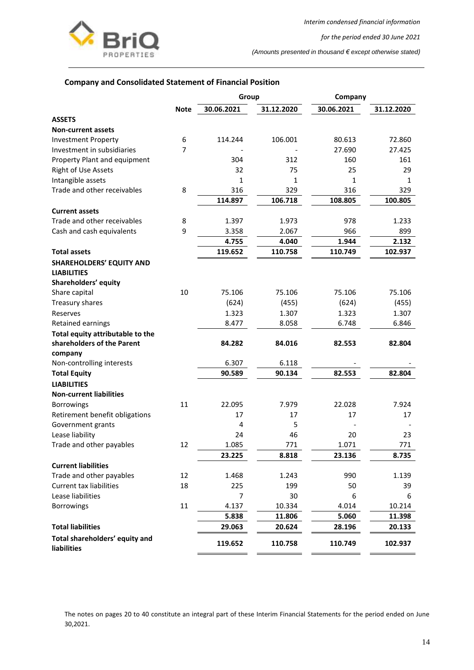

*for the period ended 30 June 2021*

*(Amounts presented in thousand € except otherwise stated)*

## <span id="page-14-0"></span>**Company and Consolidated Statement of Financial Position**

|                                                      |                | Group          |            | Company    |            |  |
|------------------------------------------------------|----------------|----------------|------------|------------|------------|--|
|                                                      | <b>Note</b>    | 30.06.2021     | 31.12.2020 | 30.06.2021 | 31.12.2020 |  |
| <b>ASSETS</b>                                        |                |                |            |            |            |  |
| <b>Non-current assets</b>                            |                |                |            |            |            |  |
| <b>Investment Property</b>                           | 6              | 114.244        | 106.001    | 80.613     | 72.860     |  |
| Investment in subsidiaries                           | $\overline{7}$ |                |            | 27.690     | 27.425     |  |
| Property Plant and equipment                         |                | 304            | 312        | 160        | 161        |  |
| <b>Right of Use Assets</b>                           |                | 32             | 75         | 25         | 29         |  |
| Intangible assets                                    |                | 1              | 1          | 1          | 1          |  |
| Trade and other receivables                          | 8              | 316            | 329        | 316        | 329        |  |
|                                                      |                | 114.897        | 106.718    | 108.805    | 100.805    |  |
| <b>Current assets</b>                                |                |                |            |            |            |  |
| Trade and other receivables                          | 8              | 1.397          | 1.973      | 978        | 1.233      |  |
| Cash and cash equivalents                            | 9              | 3.358          | 2.067      | 966        | 899        |  |
|                                                      |                | 4.755          | 4.040      | 1.944      | 2.132      |  |
| <b>Total assets</b>                                  |                | 119.652        | 110.758    | 110.749    | 102.937    |  |
| <b>SHAREHOLDERS' EQUITY AND</b>                      |                |                |            |            |            |  |
| <b>LIABILITIES</b>                                   |                |                |            |            |            |  |
| Shareholders' equity                                 |                |                |            |            |            |  |
| Share capital                                        | 10             | 75.106         | 75.106     | 75.106     | 75.106     |  |
| Treasury shares                                      |                | (624)          | (455)      | (624)      | (455)      |  |
| Reserves                                             |                | 1.323          | 1.307      | 1.323      | 1.307      |  |
| Retained earnings                                    |                | 8.477          | 8.058      | 6.748      | 6.846      |  |
| Total equity attributable to the                     |                |                |            |            |            |  |
| shareholders of the Parent                           |                | 84.282         | 84.016     | 82.553     | 82.804     |  |
| company                                              |                |                |            |            |            |  |
| Non-controlling interests                            |                | 6.307          | 6.118      |            |            |  |
| <b>Total Equity</b>                                  |                | 90.589         | 90.134     | 82.553     | 82.804     |  |
| <b>LIABILITIES</b>                                   |                |                |            |            |            |  |
| <b>Non-current liabilities</b>                       |                |                |            |            |            |  |
| <b>Borrowings</b>                                    | 11             | 22.095         | 7.979      | 22.028     | 7.924      |  |
| Retirement benefit obligations                       |                | 17             | 17         | 17         | 17         |  |
| Government grants                                    |                | $\overline{4}$ | 5          |            |            |  |
| Lease liability                                      |                | 24             | 46         | 20         | 23         |  |
| Trade and other payables                             | 12             | 1.085          | 771        | 1.071      | 771        |  |
|                                                      |                | 23.225         | 8.818      | 23.136     | 8.735      |  |
| <b>Current liabilities</b>                           |                |                |            |            |            |  |
| Trade and other payables                             | 12             | 1.468          | 1.243      | 990        | 1.139      |  |
| <b>Current tax liabilities</b>                       | 18             | 225            | 199        | 50         | 39         |  |
| Lease liabilities                                    |                | 7              | 30         | 6          | 6          |  |
| <b>Borrowings</b>                                    | 11             | 4.137          | 10.334     | 4.014      | 10.214     |  |
|                                                      |                | 5.838          | 11.806     | 5.060      | 11.398     |  |
| <b>Total liabilities</b>                             |                | 29.063         | 20.624     | 28.196     | 20.133     |  |
| Total shareholders' equity and<br><b>liabilities</b> |                | 119.652        | 110.758    | 110.749    | 102.937    |  |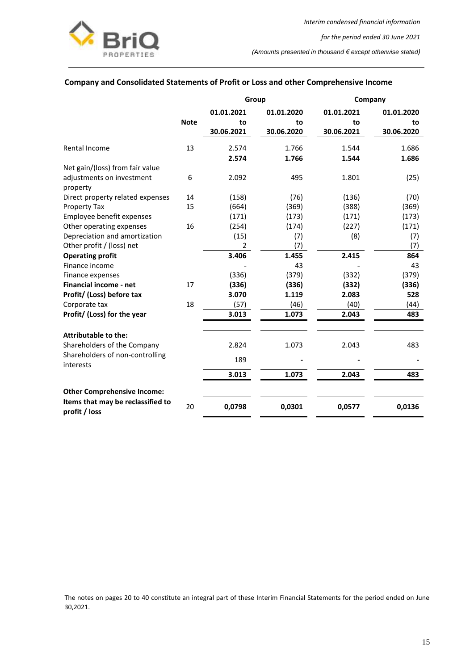

## **Company and Consolidated Statements of Profit or Loss and other Comprehensive Income**

|                                                    |             | Group      |            |            | Company    |  |
|----------------------------------------------------|-------------|------------|------------|------------|------------|--|
|                                                    |             | 01.01.2021 | 01.01.2020 | 01.01.2021 | 01.01.2020 |  |
|                                                    | <b>Note</b> | to         | to         | to         | to         |  |
|                                                    |             | 30.06.2021 | 30.06.2020 | 30.06.2021 | 30.06.2020 |  |
| Rental Income                                      | 13          | 2.574      | 1.766      | 1.544      | 1.686      |  |
|                                                    |             | 2.574      | 1.766      | 1.544      | 1.686      |  |
| Net gain/(loss) from fair value                    |             |            |            |            |            |  |
| adjustments on investment<br>property              | 6           | 2.092      | 495        | 1.801      | (25)       |  |
| Direct property related expenses                   | 14          | (158)      | (76)       | (136)      | (70)       |  |
| Property Tax                                       | 15          | (664)      | (369)      | (388)      | (369)      |  |
| Employee benefit expenses                          |             | (171)      | (173)      | (171)      | (173)      |  |
| Other operating expenses                           | 16          | (254)      | (174)      | (227)      | (171)      |  |
| Depreciation and amortization                      |             | (15)       | (7)        | (8)        | (7)        |  |
| Other profit / (loss) net                          |             | 2          | (7)        |            | (7)        |  |
| <b>Operating profit</b>                            |             | 3.406      | 1.455      | 2.415      | 864        |  |
| Finance income                                     |             |            | 43         |            | 43         |  |
| Finance expenses                                   |             | (336)      | (379)      | (332)      | (379)      |  |
| Financial income - net                             | 17          | (336)      | (336)      | (332)      | (336)      |  |
| Profit/ (Loss) before tax                          |             | 3.070      | 1.119      | 2.083      | 528        |  |
| Corporate tax                                      | 18          | (57)       | (46)       | (40)       | (44)       |  |
| Profit/ (Loss) for the year                        |             | 3.013      | 1.073      | 2.043      | 483        |  |
| Attributable to the:                               |             |            |            |            |            |  |
| Shareholders of the Company                        |             | 2.824      | 1.073      | 2.043      | 483        |  |
| Shareholders of non-controlling<br>interests       |             | 189        |            |            |            |  |
|                                                    |             | 3.013      | 1.073      | 2.043      | 483        |  |
| <b>Other Comprehensive Income:</b>                 |             |            |            |            |            |  |
| Items that may be reclassified to<br>profit / loss | 20          | 0,0798     | 0,0301     | 0,0577     | 0,0136     |  |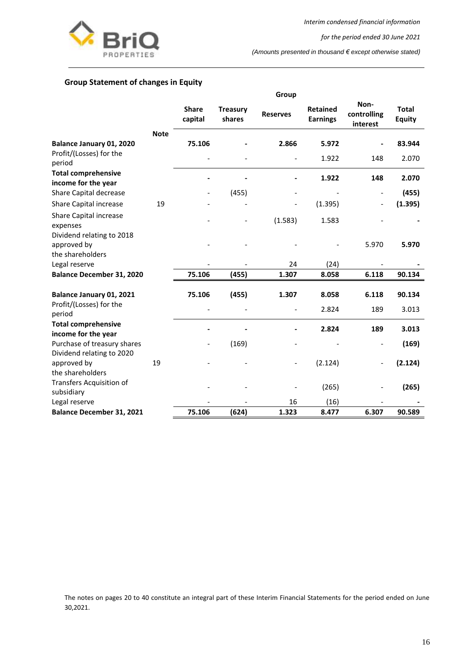

*Interim condensed financial information*

*for the period ended 30 June 2021*

*(Amounts presented in thousand € except otherwise stated)*

## <span id="page-16-0"></span>**Group Statement of changes in Equity**

|                                                                 |             |                         |                           | Group           |                                    |                                 |                               |
|-----------------------------------------------------------------|-------------|-------------------------|---------------------------|-----------------|------------------------------------|---------------------------------|-------------------------------|
|                                                                 |             | <b>Share</b><br>capital | <b>Treasury</b><br>shares | <b>Reserves</b> | <b>Retained</b><br><b>Earnings</b> | Non-<br>controlling<br>interest | <b>Total</b><br><b>Equity</b> |
|                                                                 | <b>Note</b> |                         |                           |                 |                                    |                                 |                               |
| Balance January 01, 2020                                        |             | 75.106                  |                           | 2.866           | 5.972                              |                                 | 83.944                        |
| Profit/(Losses) for the<br>period                               |             |                         |                           |                 | 1.922                              | 148                             | 2.070                         |
| <b>Total comprehensive</b><br>income for the year               |             |                         |                           |                 | 1.922                              | 148                             | 2.070                         |
| Share Capital decrease                                          |             |                         | (455)                     |                 |                                    | $\overline{\phantom{a}}$        | (455)                         |
| <b>Share Capital increase</b>                                   | 19          |                         |                           |                 | (1.395)                            | $\qquad \qquad \blacksquare$    | (1.395)                       |
| Share Capital increase<br>expenses<br>Dividend relating to 2018 |             |                         |                           | (1.583)         | 1.583                              |                                 |                               |
| approved by<br>the shareholders                                 |             |                         |                           |                 |                                    | 5.970                           | 5.970                         |
| Legal reserve                                                   |             |                         |                           | 24              | (24)                               |                                 |                               |
| <b>Balance December 31, 2020</b>                                |             | 75.106                  | (455)                     | 1.307           | 8.058                              | 6.118                           | 90.134                        |
| Balance January 01, 2021                                        |             | 75.106                  | (455)                     | 1.307           | 8.058                              | 6.118                           | 90.134                        |
| Profit/(Losses) for the<br>period                               |             |                         |                           |                 | 2.824                              | 189                             | 3.013                         |
| <b>Total comprehensive</b><br>income for the year               |             |                         |                           |                 | 2.824                              | 189                             | 3.013                         |
| Purchase of treasury shares<br>Dividend relating to 2020        |             |                         | (169)                     |                 |                                    |                                 | (169)                         |
| approved by<br>the shareholders                                 | 19          |                         |                           |                 | (2.124)                            | $\blacksquare$                  | (2.124)                       |
| Transfers Acquisition of<br>subsidiary                          |             |                         |                           |                 | (265)                              |                                 | (265)                         |
| Legal reserve                                                   |             |                         |                           | 16              | (16)                               |                                 |                               |
| <b>Balance December 31, 2021</b>                                |             | 75.106                  | (624)                     | 1.323           | 8.477                              | 6.307                           | 90.589                        |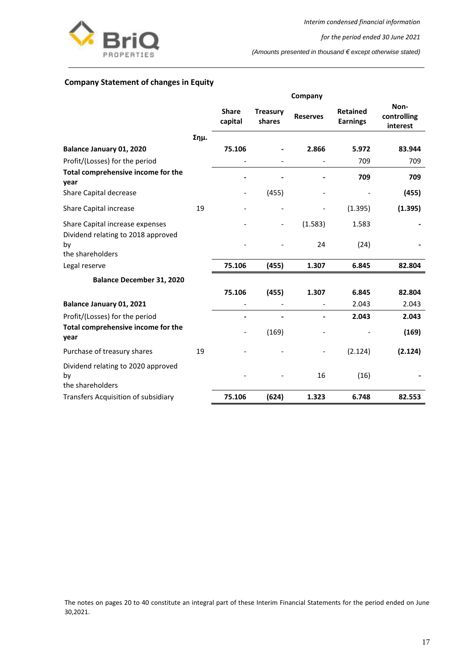

*Interim condensed financial information*

*for the period ended 30 June 2021*

*(Amounts presented in thousand € except otherwise stated)*

## <span id="page-17-0"></span>**Company Statement of changes in Equity**

|                                                              |      | Company                 |                           |                 |                                    |                                 |
|--------------------------------------------------------------|------|-------------------------|---------------------------|-----------------|------------------------------------|---------------------------------|
|                                                              |      | <b>Share</b><br>capital | <b>Treasury</b><br>shares | <b>Reserves</b> | <b>Retained</b><br><b>Earnings</b> | Non-<br>controlling<br>interest |
|                                                              | Σημ. |                         |                           |                 |                                    |                                 |
| Balance January 01, 2020                                     |      | 75.106                  |                           | 2.866           | 5.972                              | 83.944                          |
| Profit/(Losses) for the period                               |      |                         |                           |                 | 709                                | 709                             |
| Total comprehensive income for the<br>year                   |      |                         |                           |                 | 709                                | 709                             |
| Share Capital decrease                                       |      |                         | (455)                     |                 |                                    | (455)                           |
| Share Capital increase                                       | 19   |                         |                           |                 | (1.395)                            | (1.395)                         |
| Share Capital increase expenses                              |      |                         | $\overline{\phantom{a}}$  | (1.583)         | 1.583                              |                                 |
| Dividend relating to 2018 approved<br>by<br>the shareholders |      |                         |                           | 24              | (24)                               |                                 |
| Legal reserve                                                |      | 75.106                  | (455)                     | 1.307           | 6.845                              | 82.804                          |
| <b>Balance December 31, 2020</b>                             |      |                         |                           |                 |                                    |                                 |
|                                                              |      | 75.106                  | (455)                     | 1.307           | 6.845                              | 82.804                          |
| Balance January 01, 2021                                     |      |                         |                           |                 | 2.043                              | 2.043                           |
| Profit/(Losses) for the period                               |      |                         |                           |                 | 2.043                              | 2.043                           |
| Total comprehensive income for the<br>year                   |      |                         | (169)                     |                 |                                    | (169)                           |
| Purchase of treasury shares                                  | 19   |                         |                           |                 | (2.124)                            | (2.124)                         |
| Dividend relating to 2020 approved<br>bv<br>the shareholders |      |                         |                           | 16              | (16)                               |                                 |
| Transfers Acquisition of subsidiary                          |      | 75.106                  | (624)                     | 1.323           | 6.748                              | 82.553                          |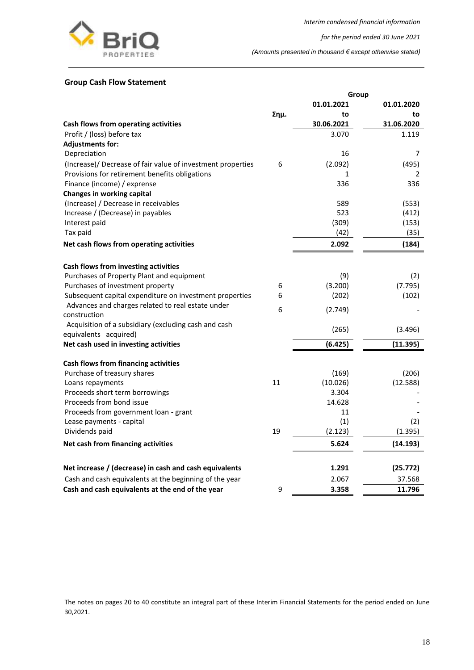

*for the period ended 30 June 2021*

*(Amounts presented in thousand € except otherwise stated)*

## <span id="page-18-0"></span>**Group Cash Flow Statement**

|                                                             |      | Group      |            |
|-------------------------------------------------------------|------|------------|------------|
|                                                             |      | 01.01.2021 | 01.01.2020 |
|                                                             | Σημ. | to         | to         |
| Cash flows from operating activities                        |      | 30.06.2021 | 31.06.2020 |
| Profit / (loss) before tax                                  |      | 3.070      | 1.119      |
| <b>Adjustments for:</b>                                     |      |            |            |
| Depreciation                                                |      | 16         | 7          |
| (Increase)/ Decrease of fair value of investment properties | 6    | (2.092)    | (495)      |
| Provisions for retirement benefits obligations              |      | 1          | 2          |
| Finance (income) / exprense                                 |      | 336        | 336        |
| <b>Changes in working capital</b>                           |      |            |            |
| (Increase) / Decrease in receivables                        |      | 589        | (553)      |
| Increase / (Decrease) in payables                           |      | 523        | (412)      |
| Interest paid                                               |      | (309)      | (153)      |
| Tax paid                                                    |      | (42)       | (35)       |
| Net cash flows from operating activities                    |      | 2.092      | (184)      |
| Cash flows from investing activities                        |      |            |            |
| Purchases of Property Plant and equipment                   |      | (9)        | (2)        |
| Purchases of investment property                            | 6    | (3.200)    | (7.795)    |
| Subsequent capital expenditure on investment properties     | 6    | (202)      | (102)      |
| Advances and charges related to real estate under           |      |            |            |
| construction                                                | 6    | (2.749)    |            |
| Acquisition of a subsidiary (excluding cash and cash        |      |            |            |
| equivalents acquired)                                       |      | (265)      | (3.496)    |
| Net cash used in investing activities                       |      | (6.425)    | (11.395)   |
| Cash flows from financing activities                        |      |            |            |
| Purchase of treasury shares                                 |      | (169)      | (206)      |
| Loans repayments                                            | 11   | (10.026)   | (12.588)   |
| Proceeds short term borrowings                              |      | 3.304      |            |
| Proceeds from bond issue                                    |      | 14.628     |            |
| Proceeds from government loan - grant                       |      | 11         |            |
| Lease payments - capital                                    |      | (1)        | (2)        |
| Dividends paid                                              | 19   | (2.123)    | (1.395)    |
| Net cash from financing activities                          |      | 5.624      | (14.193)   |
| Net increase / (decrease) in cash and cash equivalents      |      | 1.291      | (25.772)   |
| Cash and cash equivalents at the beginning of the year      |      | 2.067      | 37.568     |
|                                                             |      |            |            |
| Cash and cash equivalents at the end of the year            | 9    | 3.358      | 11.796     |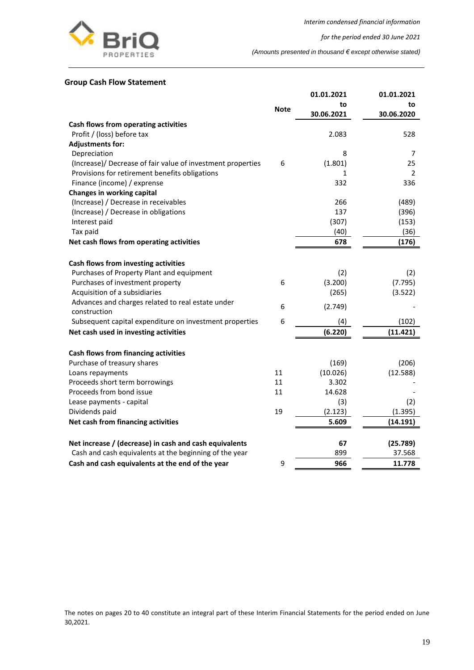

*for the period ended 30 June 2021*

*(Amounts presented in thousand € except otherwise stated)*

### <span id="page-19-0"></span>**Group Cash Flow Statement**

|                                                             |             | 01.01.2021 | 01.01.2021 |
|-------------------------------------------------------------|-------------|------------|------------|
|                                                             | <b>Note</b> | to         | to         |
|                                                             |             | 30.06.2021 | 30.06.2020 |
| Cash flows from operating activities                        |             |            |            |
| Profit / (loss) before tax                                  |             | 2.083      | 528        |
| <b>Adjustments for:</b>                                     |             |            |            |
| Depreciation                                                |             | 8          | 7          |
| (Increase)/ Decrease of fair value of investment properties | 6           | (1.801)    | 25         |
| Provisions for retirement benefits obligations              |             | 1          | 2          |
| Finance (income) / exprense                                 |             | 332        | 336        |
| Changes in working capital                                  |             |            |            |
| (Increase) / Decrease in receivables                        |             | 266        | (489)      |
| (Increase) / Decrease in obligations                        |             | 137        | (396)      |
| Interest paid                                               |             | (307)      | (153)      |
| Tax paid                                                    |             | (40)       | (36)       |
| Net cash flows from operating activities                    |             | 678        | (176)      |
| Cash flows from investing activities                        |             |            |            |
| Purchases of Property Plant and equipment                   |             | (2)        | (2)        |
| Purchases of investment property                            | 6           | (3.200)    | (7.795)    |
| Acquisition of a subsidiaries                               |             | (265)      | (3.522)    |
| Advances and charges related to real estate under           | 6           | (2.749)    |            |
| construction                                                |             |            |            |
| Subsequent capital expenditure on investment properties     | 6           | (4)        | (102)      |
| Net cash used in investing activities                       |             | (6.220)    | (11.421)   |
| Cash flows from financing activities                        |             |            |            |
| Purchase of treasury shares                                 |             | (169)      | (206)      |
| Loans repayments                                            | 11          | (10.026)   | (12.588)   |
| Proceeds short term borrowings                              | 11          | 3.302      |            |
| Proceeds from bond issue                                    | 11          | 14.628     |            |
| Lease payments - capital                                    |             | (3)        | (2)        |
| Dividends paid                                              | 19          | (2.123)    | (1.395)    |
| Net cash from financing activities                          |             | 5.609      | (14.191)   |
| Net increase / (decrease) in cash and cash equivalents      |             | 67         | (25.789)   |
| Cash and cash equivalents at the beginning of the year      |             | 899        | 37.568     |
| Cash and cash equivalents at the end of the year            | 9           | 966        | 11.778     |
|                                                             |             |            |            |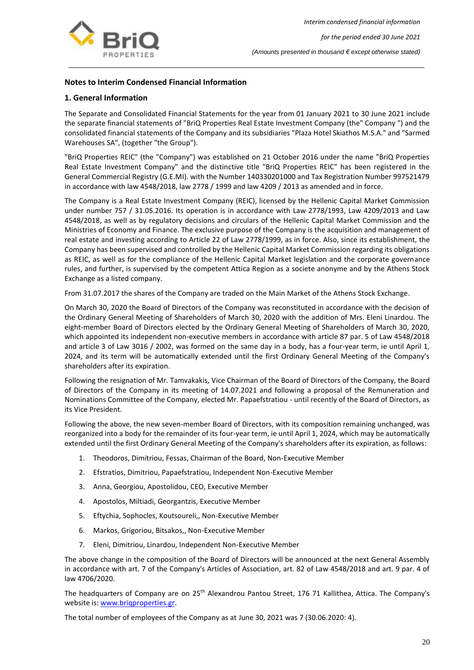

## <span id="page-20-0"></span>**Notes to Interim Condensed Financial Information**

## <span id="page-20-1"></span>**1. General Information**

The Separate and Consolidated Financial Statements for the year from 01 January 2021 to 30 June 2021 include the separate financial statements of "BriQ Properties Real Estate Investment Company (the" Company ") and the consolidated financial statements of the Company and its subsidiaries "Plaza Hotel Skiathos M.S.A." and "Sarmed Warehouses SA", (together "the Group").

"BriQ Properties REIC" (the "Company") was established on 21 October 2016 under the name "BriQ Properties Real Estate Investment Company" and the distinctive title "BriQ Properties REIC" has been registered in the General Commercial Registry (G.E.MI). with the Number 140330201000 and Tax Registration Number 997521479 in accordance with law 4548/2018, law 2778 / 1999 and law 4209 / 2013 as amended and in force.

The Company is a Real Estate Investment Company (REIC), licensed by the Hellenic Capital Market Commission under number 757 / 31.05.2016. Its operation is in accordance with Law 2778/1993, Law 4209/2013 and Law 4548/2018, as well as by regulatory decisions and circulars of the Hellenic Capital Market Commission and the Ministries of Economy and Finance. The exclusive purpose of the Company is the acquisition and management of real estate and investing according to Article 22 of Law 2778/1999, as in force. Also, since its establishment, the Company has been supervised and controlled by the Hellenic Capital Market Commission regarding its obligations as REIC, as well as for the compliance of the Hellenic Capital Market legislation and the corporate governance rules, and further, is supervised by the competent Attica Region as a societe anonyme and by the Athens Stock Exchange as a listed company.

From 31.07.2017 the shares of the Company are traded on the Main Market of the Athens Stock Exchange.

On March 30, 2020 the Board of Directors of the Company was reconstituted in accordance with the decision of the Ordinary General Meeting of Shareholders of March 30, 2020 with the addition of Mrs. Eleni Linardou. The eight-member Board of Directors elected by the Ordinary General Meeting of Shareholders of March 30, 2020, which appointed its independent non-executive members in accordance with article 87 par. 5 of Law 4548/2018 and article 3 of Law 3016 / 2002, was formed on the same day in a body, has a four-year term, ie until April 1, 2024, and its term will be automatically extended until the first Ordinary General Meeting of the Company's shareholders after its expiration.

Following the resignation of Mr. Tamvakakis, Vice Chairman of the Board of Directors of the Company, the Board of Directors of the Company in its meeting of 14.07.2021 and following a proposal of the Remuneration and Nominations Committee of the Company, elected Mr. Papaefstratiou - until recently of the Board of Directors, as its Vice President.

Following the above, the new seven-member Board of Directors, with its composition remaining unchanged, was reorganized into a body for the remainder of its four-year term, ie until April 1, 2024, which may be automatically extended until the first Ordinary General Meeting of the Company's shareholders after its expiration, as follows:

- 1. Theodoros, Dimitriou, Fessas, Chairman of the Board, Non-Executive Member
- 2. Efstratios, Dimitriou, Papaefstratiou, Independent Non-Executive Member
- 3. Anna, Georgiou, Apostolidou, CEO, Executive Member
- 4. Apostolos, Miltiadi, Georgantzis, Executive Member
- 5. Eftychia, Sophocles, Koutsoureli,, Non-Executive Member
- 6. Markos, Grigoriou, Bitsakos,, Non-Executive Member
- 7. Eleni, Dimitriou, Linardou, Independent Non-Executive Member

The above change in the composition of the Board of Directors will be announced at the next General Assembly in accordance with art. 7 of the Company's Articles of Association, art. 82 of Law 4548/2018 and art. 9 par. 4 of law 4706/2020.

The headquarters of Company are on 25<sup>th</sup> Alexandrou Pantou Street, 176 71 Kallithea, Attica. The Company's website is: www.brigproperties.gr.

Τhe total number of employees of the Company as at June 30, 2021 was 7 (30.06.2020: 4).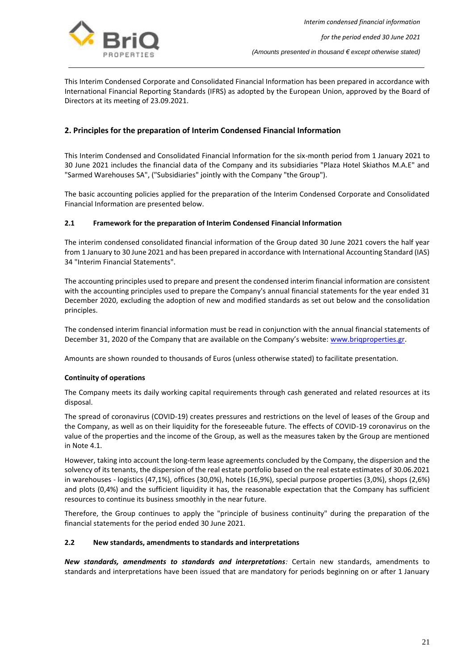

This Interim Condensed Corporate and Consolidated Financial Information has been prepared in accordance with International Financial Reporting Standards (IFRS) as adopted by the European Union, approved by the Board of Directors at its meeting of 23.09.2021.

## <span id="page-21-0"></span>**2. Principles for the preparation of Interim Condensed Financial Information**

This Interim Condensed and Consolidated Financial Information for the six-month period from 1 January 2021 to 30 June 2021 includes the financial data of the Company and its subsidiaries "Plaza Hotel Skiathos M.A.E" and "Sarmed Warehouses SA", ("Subsidiaries" jointly with the Company "the Group").

The basic accounting policies applied for the preparation of the Interim Condensed Corporate and Consolidated Financial Information are presented below.

### **2.1 Framework for the preparation of Interim Condensed Financial Information**

The interim condensed consolidated financial information of the Group dated 30 June 2021 covers the half year from 1 January to 30 June 2021 and has been prepared in accordance with International Accounting Standard (IAS) 34 "Interim Financial Statements".

The accounting principles used to prepare and present the condensed interim financial information are consistent with the accounting principles used to prepare the Company's annual financial statements for the year ended 31 December 2020, excluding the adoption of new and modified standards as set out below and the consolidation principles.

The condensed interim financial information must be read in conjunction with the annual financial statements of December 31, 2020 of the Company that are available on the Company's website: www.brigproperties.gr.

Amounts are shown rounded to thousands of Euros (unless otherwise stated) to facilitate presentation.

### **Continuity of operations**

The Company meets its daily working capital requirements through cash generated and related resources at its disposal.

The spread of coronavirus (COVID-19) creates pressures and restrictions on the level of leases of the Group and the Company, as well as on their liquidity for the foreseeable future. The effects of COVID-19 coronavirus on the value of the properties and the income of the Group, as well as the measures taken by the Group are mentioned in Note 4.1.

However, taking into account the long-term lease agreements concluded by the Company, the dispersion and the solvency of its tenants, the dispersion of the real estate portfolio based on the real estate estimates of 30.06.2021 in warehouses - logistics (47,1%), offices (30,0%), hotels (16,9%), special purpose properties (3,0%), shops (2,6%) and plots (0,4%) and the sufficient liquidity it has, the reasonable expectation that the Company has sufficient resources to continue its business smoothly in the near future.

Therefore, the Group continues to apply the "principle of business continuity" during the preparation of the financial statements for the period ended 30 June 2021.

#### **2.2 New standards, amendments to standards and interpretations**

*New standards, amendments to standards and interpretations:* Certain new standards, amendments to standards and interpretations have been issued that are mandatory for periods beginning on or after 1 January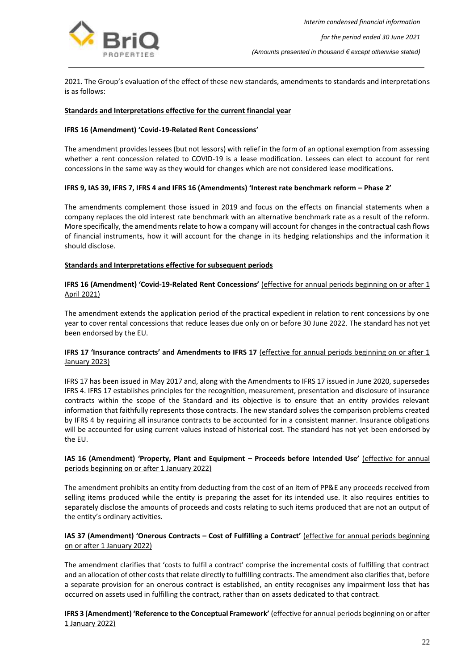

2021. The Group's evaluation of the effect of these new standards, amendments to standards and interpretations is as follows:

#### **Standards and Interpretations effective for the current financial year**

#### **IFRS 16 (Amendment) 'Covid-19-Related Rent Concessions'**

The amendment provides lessees (but not lessors) with relief in the form of an optional exemption from assessing whether a rent concession related to COVID-19 is a lease modification. Lessees can elect to account for rent concessions in the same way as they would for changes which are not considered lease modifications.

#### **IFRS 9, IAS 39, IFRS 7, IFRS 4 and IFRS 16 (Amendments) 'Interest rate benchmark reform – Phase 2'**

The amendments complement those issued in 2019 and focus on the effects on financial statements when a company replaces the old interest rate benchmark with an alternative benchmark rate as a result of the reform. More specifically, the amendments relate to how a company will account for changes in the contractual cash flows of financial instruments, how it will account for the change in its hedging relationships and the information it should disclose.

#### **Standards and Interpretations effective for subsequent periods**

### **IFRS 16 (Amendment) 'Covid-19-Related Rent Concessions'** (effective for annual periods beginning on or after 1 April 2021)

The amendment extends the application period of the practical expedient in relation to rent concessions by one year to cover rental concessions that reduce leases due only on or before 30 June 2022. The standard has not yet been endorsed by the EU.

### **IFRS 17 'Insurance contracts' and Amendments to IFRS 17** (effective for annual periods beginning on or after 1 January 2023)

IFRS 17 has been issued in May 2017 and, along with the Amendments to IFRS 17 issued in June 2020, supersedes IFRS 4. IFRS 17 establishes principles for the recognition, measurement, presentation and disclosure of insurance contracts within the scope of the Standard and its objective is to ensure that an entity provides relevant information that faithfully represents those contracts. The new standard solves the comparison problems created by IFRS 4 by requiring all insurance contracts to be accounted for in a consistent manner. Insurance obligations will be accounted for using current values instead of historical cost. The standard has not yet been endorsed by the EU.

### **IAS 16 (Amendment) 'Property, Plant and Equipment – Proceeds before Intended Use'** (effective for annual periods beginning on or after 1 January 2022)

The amendment prohibits an entity from deducting from the cost of an item of PP&E any proceeds received from selling items produced while the entity is preparing the asset for its intended use. It also requires entities to separately disclose the amounts of proceeds and costs relating to such items produced that are not an output of the entity's ordinary activities.

### **IAS 37 (Amendment) 'Onerous Contracts – Cost of Fulfilling a Contract'** (effective for annual periods beginning on or after 1 January 2022)

The amendment clarifies that 'costs to fulfil a contract' comprise the incremental costs of fulfilling that contract and an allocation of other costs that relate directly to fulfilling contracts. The amendment also clarifies that, before a separate provision for an onerous contract is established, an entity recognises any impairment loss that has occurred on assets used in fulfilling the contract, rather than on assets dedicated to that contract.

**IFRS 3 (Amendment) 'Reference to the Conceptual Framework'** (effective for annual periods beginning on or after 1 January 2022)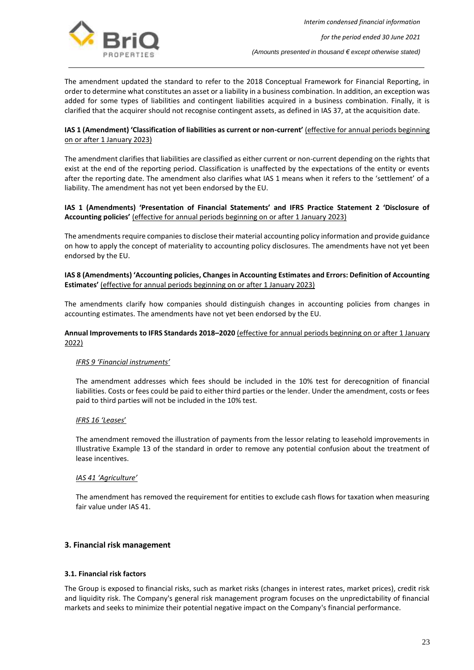

The amendment updated the standard to refer to the 2018 Conceptual Framework for Financial Reporting, in order to determine what constitutes an asset or a liability in a business combination. In addition, an exception was added for some types of liabilities and contingent liabilities acquired in a business combination. Finally, it is clarified that the acquirer should not recognise contingent assets, as defined in IAS 37, at the acquisition date.

## **IAS 1 (Amendment) 'Classification of liabilities as current or non-current'** (effective for annual periods beginning on or after 1 January 2023)

The amendment clarifies that liabilities are classified as either current or non-current depending on the rights that exist at the end of the reporting period. Classification is unaffected by the expectations of the entity or events after the reporting date. The amendment also clarifies what IAS 1 means when it refers to the 'settlement' of a liability. The amendment has not yet been endorsed by the EU.

### **IAS 1 (Amendments) 'Presentation of Financial Statements' and IFRS Practice Statement 2 'Disclosure of Accounting policies'** (effective for annual periods beginning on or after 1 January 2023)

The amendments require companies to disclose their material accounting policy information and provide guidance on how to apply the concept of materiality to accounting policy disclosures. The amendments have not yet been endorsed by the EU.

## **IAS 8 (Amendments) 'Accounting policies, Changes in Accounting Estimates and Errors: Definition of Accounting Estimates'** (effective for annual periods beginning on or after 1 January 2023)

The amendments clarify how companies should distinguish changes in accounting policies from changes in accounting estimates. The amendments have not yet been endorsed by the EU.

### **Annual Improvements to IFRS Standards 2018–2020** (effective for annual periods beginning on or after 1 January 2022)

## *IFRS 9 'Financial instruments'*

The amendment addresses which fees should be included in the 10% test for derecognition of financial liabilities. Costs or fees could be paid to either third parties or the lender. Under the amendment, costs or fees paid to third parties will not be included in the 10% test.

## *IFRS 16 'Leases*'

The amendment removed the illustration of payments from the lessor relating to leasehold improvements in Illustrative Example 13 of the standard in order to remove any potential confusion about the treatment of lease incentives.

## *IAS 41 'Agriculture'*

The amendment has removed the requirement for entities to exclude cash flows for taxation when measuring fair value under IAS 41.

## <span id="page-23-0"></span>**3. Financial risk management**

#### **3.1. Financial risk factors**

The Group is exposed to financial risks, such as market risks (changes in interest rates, market prices), credit risk and liquidity risk. The Company's general risk management program focuses on the unpredictability of financial markets and seeks to minimize their potential negative impact on the Company's financial performance.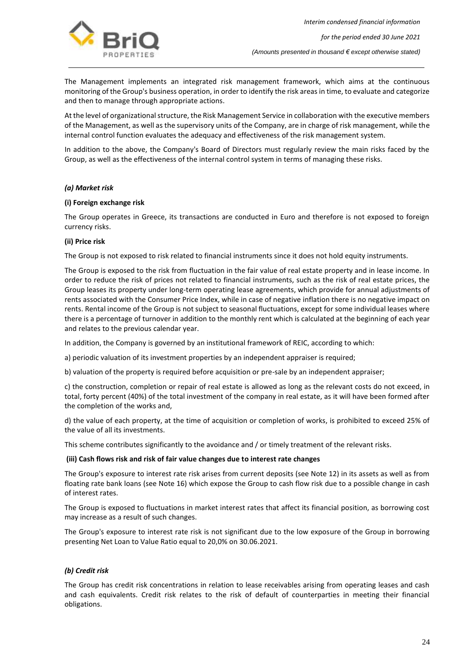

The Management implements an integrated risk management framework, which aims at the continuous monitoring of the Group's business operation, in order to identify the risk areas in time, to evaluate and categorize and then to manage through appropriate actions.

At the level of organizational structure, the Risk Management Service in collaboration with the executive members of the Management, as well as the supervisory units of the Company, are in charge of risk management, while the internal control function evaluates the adequacy and effectiveness of the risk management system.

In addition to the above, the Company's Board of Directors must regularly review the main risks faced by the Group, as well as the effectiveness of the internal control system in terms of managing these risks.

#### *(a) Market risk*

#### **(i) Foreign exchange risk**

The Group operates in Greece, its transactions are conducted in Euro and therefore is not exposed to foreign currency risks.

#### **(ii) Price risk**

The Group is not exposed to risk related to financial instruments since it does not hold equity instruments.

The Group is exposed to the risk from fluctuation in the fair value of real estate property and in lease income. In order to reduce the risk of prices not related to financial instruments, such as the risk of real estate prices, the Group leases its property under long-term operating lease agreements, which provide for annual adjustments of rents associated with the Consumer Price Index, while in case of negative inflation there is no negative impact on rents. Rental income of the Group is not subject to seasonal fluctuations, except for some individual leases where there is a percentage of turnover in addition to the monthly rent which is calculated at the beginning of each year and relates to the previous calendar year.

In addition, the Company is governed by an institutional framework of REIC, according to which:

a) periodic valuation of its investment properties by an independent appraiser is required;

b) valuation of the property is required before acquisition or pre-sale by an independent appraiser;

c) the construction, completion or repair of real estate is allowed as long as the relevant costs do not exceed, in total, forty percent (40%) of the total investment of the company in real estate, as it will have been formed after the completion of the works and,

d) the value of each property, at the time of acquisition or completion of works, is prohibited to exceed 25% of the value of all its investments.

This scheme contributes significantly to the avoidance and / or timely treatment of the relevant risks.

#### **(iii) Cash flows risk and risk of fair value changes due to interest rate changes**

The Group's exposure to interest rate risk arises from current deposits (see Note 12) in its assets as well as from floating rate bank loans (see Note 16) which expose the Group to cash flow risk due to a possible change in cash of interest rates.

The Group is exposed to fluctuations in market interest rates that affect its financial position, as borrowing cost may increase as a result of such changes.

The Group's exposure to interest rate risk is not significant due to the low exposure of the Group in borrowing presenting Net Loan to Value Ratio equal to 20,0% on 30.06.2021.

#### *(b) Credit risk*

The Group has credit risk concentrations in relation to lease receivables arising from operating leases and cash and cash equivalents. Credit risk relates to the risk of default of counterparties in meeting their financial obligations.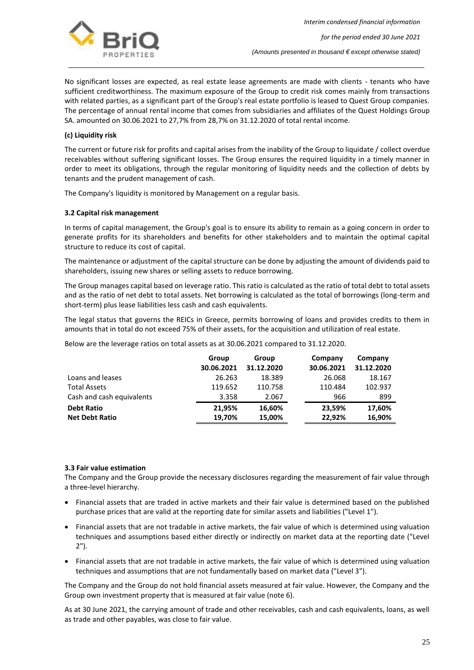

No significant losses are expected, as real estate lease agreements are made with clients - tenants who have sufficient creditworthiness. The maximum exposure of the Group to credit risk comes mainly from transactions with related parties, as a significant part of the Group's real estate portfolio is leased to Quest Group companies. The percentage of annual rental income that comes from subsidiaries and affiliates of the Quest Holdings Group SA. amounted on 30.06.2021 to 27,7% from 28,7% on 31.12.2020 of total rental income.

#### **(c) Liquidity risk**

The current or future risk for profits and capital arises from the inability of the Group to liquidate / collect overdue receivables without suffering significant losses. The Group ensures the required liquidity in a timely manner in order to meet its obligations, through the regular monitoring of liquidity needs and the collection of debts by tenants and the prudent management of cash.

The Company's liquidity is monitored by Management on a regular basis.

### **3.2 Capital risk management**

In terms of capital management, the Group's goal is to ensure its ability to remain as a going concern in order to generate profits for its shareholders and benefits for other stakeholders and to maintain the optimal capital structure to reduce its cost of capital.

The maintenance or adjustment of the capital structure can be done by adjusting the amount of dividends paid to shareholders, issuing new shares or selling assets to reduce borrowing.

The Group manages capital based on leverage ratio. This ratio is calculated as the ratio of total debt to total assets and as the ratio of net debt to total assets. Net borrowing is calculated as the total of borrowings (long-term and short-term) plus lease liabilities less cash and cash equivalents.

The legal status that governs the REICs in Greece, permits borrowing of loans and provides credits to them in amounts that in total do not exceed 75% of their assets, for the acquisition and utilization of real estate.

Below are the leverage ratios on total assets as at 30.06.2021 compared to 31.12.2020.

|                           | Group      | Group      | Company    | Company    |
|---------------------------|------------|------------|------------|------------|
|                           | 30.06.2021 | 31.12.2020 | 30.06.2021 | 31.12.2020 |
| Loans and leases          | 26.263     | 18.389     | 26.068     | 18.167     |
| <b>Total Assets</b>       | 119.652    | 110.758    | 110.484    | 102.937    |
| Cash and cash equivalents | 3.358      | 2.067      | 966        | 899        |
| <b>Debt Ratio</b>         | 21,95%     | 16,60%     | 23,59%     | 17,60%     |
| <b>Net Debt Ratio</b>     | 19,70%     | 15,00%     | 22,92%     | 16,90%     |

#### **3.3 Fair value estimation**

The Company and the Group provide the necessary disclosures regarding the measurement of fair value through a three-level hierarchy.

- Financial assets that are traded in active markets and their fair value is determined based on the published purchase prices that are valid at the reporting date for similar assets and liabilities ("Level 1").
- Financial assets that are not tradable in active markets, the fair value of which is determined using valuation techniques and assumptions based either directly or indirectly on market data at the reporting date ("Level 2").
- Financial assets that are not tradable in active markets, the fair value of which is determined using valuation techniques and assumptions that are not fundamentally based on market data ("Level 3").

The Company and the Group do not hold financial assets measured at fair value. However, the Company and the Group own investment property that is measured at fair value (note 6).

As at 30 June 2021, the carrying amount of trade and other receivables, cash and cash equivalents, loans, as well as trade and other payables, was close to fair value.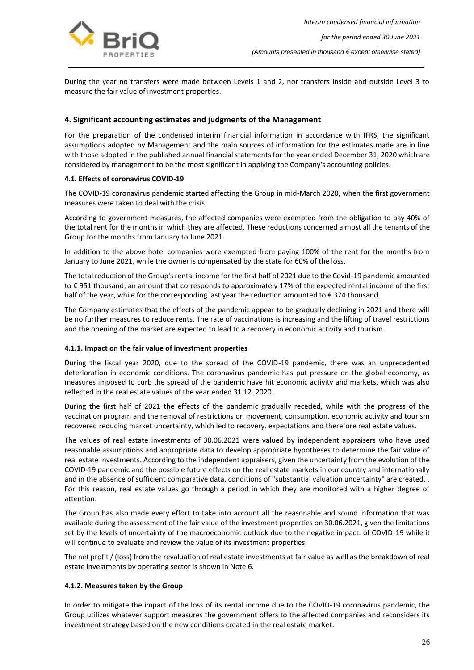

During the year no transfers were made between Levels 1 and 2, nor transfers inside and outside Level 3 to measure the fair value of investment properties.

## <span id="page-26-0"></span>**4. Significant accounting estimates and judgments of the Management**

For the preparation of the condensed interim financial information in accordance with IFRS, the significant assumptions adopted by Management and the main sources of information for the estimates made are in line with those adopted in the published annual financial statements for the year ended December 31, 2020 which are considered by management to be the most significant in applying the Company's accounting policies.

#### **4.1. Effects of coronavirus COVID-19**

The COVID-19 coronavirus pandemic started affecting the Group in mid-March 2020, when the first government measures were taken to deal with the crisis.

According to government measures, the affected companies were exempted from the obligation to pay 40% of the total rent for the months in which they are affected. These reductions concerned almost all the tenants of the Group for the months from January to June 2021.

In addition to the above hotel companies were exempted from paying 100% of the rent for the months from January to June 2021, while the owner is compensated by the state for 60% of the loss.

The total reduction of the Group's rental income for the first half of 2021 due to the Covid-19 pandemic amounted to € 951 thousand, an amount that corresponds to approximately 17% of the expected rental income of the first half of the year, while for the corresponding last year the reduction amounted to € 374 thousand.

The Company estimates that the effects of the pandemic appear to be gradually declining in 2021 and there will be no further measures to reduce rents. The rate of vaccinations is increasing and the lifting of travel restrictions and the opening of the market are expected to lead to a recovery in economic activity and tourism.

#### **4.1.1. Impact on the fair value of investment properties**

During the fiscal year 2020, due to the spread of the COVID-19 pandemic, there was an unprecedented deterioration in economic conditions. The coronavirus pandemic has put pressure on the global economy, as measures imposed to curb the spread of the pandemic have hit economic activity and markets, which was also reflected in the real estate values of the year ended 31.12. 2020.

During the first half of 2021 the effects of the pandemic gradually receded, while with the progress of the vaccination program and the removal of restrictions on movement, consumption, economic activity and tourism recovered reducing market uncertainty, which led to recovery. expectations and therefore real estate values.

The values of real estate investments of 30.06.2021 were valued by independent appraisers who have used reasonable assumptions and appropriate data to develop appropriate hypotheses to determine the fair value of real estate investments. According to the independent appraisers, given the uncertainty from the evolution of the COVID-19 pandemic and the possible future effects on the real estate markets in our country and internationally and in the absence of sufficient comparative data, conditions of "substantial valuation uncertainty" are created. . For this reason, real estate values go through a period in which they are monitored with a higher degree of attention.

The Group has also made every effort to take into account all the reasonable and sound information that was available during the assessment of the fair value of the investment properties on 30.06.2021, given the limitations set by the levels of uncertainty of the macroeconomic outlook due to the negative impact. of COVID-19 while it will continue to evaluate and review the value of its investment properties.

The net profit / (loss) from the revaluation of real estate investments at fair value as well as the breakdown of real estate investments by operating sector is shown in Note 6.

#### **4.1.2. Measures taken by the Group**

In order to mitigate the impact of the loss of its rental income due to the COVID-19 coronavirus pandemic, the Group utilizes whatever support measures the government offers to the affected companies and reconsiders its investment strategy based on the new conditions created in the real estate market.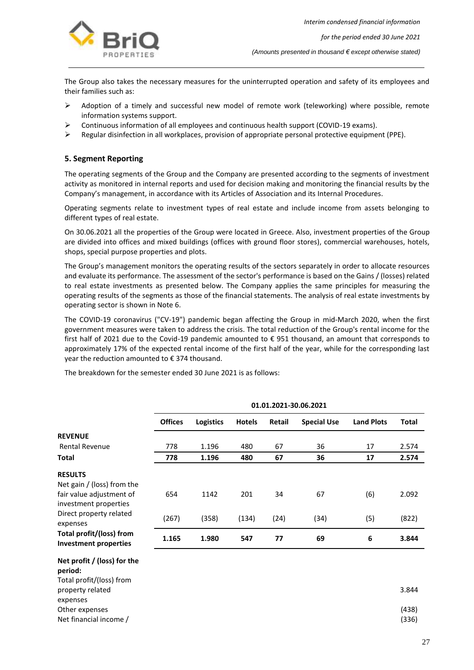

*for the period ended 30 June 2021*

*(Amounts presented in thousand € except otherwise stated)*

The Group also takes the necessary measures for the uninterrupted operation and safety of its employees and their families such as:

- ➢ Adoption of a timely and successful new model of remote work (teleworking) where possible, remote information systems support.
- ➢ Continuous information of all employees and continuous health support (COVID-19 exams).
- ➢ Regular disinfection in all workplaces, provision of appropriate personal protective equipment (PPE).

## <span id="page-27-0"></span>**5. Segment Reporting**

The operating segments of the Group and the Company are presented according to the segments of investment activity as monitored in internal reports and used for decision making and monitoring the financial results by the Company's management, in accordance with its Articles of Association and its Internal Procedures.

Operating segments relate to investment types of real estate and include income from assets belonging to different types of real estate.

On 30.06.2021 all the properties of the Group were located in Greece. Also, investment properties of the Group are divided into offices and mixed buildings (offices with ground floor stores), commercial warehouses, hotels, shops, special purpose properties and plots.

The Group's management monitors the operating results of the sectors separately in order to allocate resources and evaluate its performance. The assessment of the sector's performance is based on the Gains / (losses) related to real estate investments as presented below. The Company applies the same principles for measuring the operating results of the segments as those of the financial statements. The analysis of real estate investments by operating sector is shown in Note 6.

The COVID-19 coronavirus ("CV-19") pandemic began affecting the Group in mid-March 2020, when the first government measures were taken to address the crisis. The total reduction of the Group's rental income for the first half of 2021 due to the Covid-19 pandemic amounted to € 951 thousand, an amount that corresponds to approximately 17% of the expected rental income of the first half of the year, while for the corresponding last year the reduction amounted to  $\epsilon$  374 thousand.

The breakdown for the semester ended 30 June 2021 is as follows:

|                                                                    | 01.01.2021-30.06.2021 |           |               |               |                    |                   |              |
|--------------------------------------------------------------------|-----------------------|-----------|---------------|---------------|--------------------|-------------------|--------------|
|                                                                    | <b>Offices</b>        | Logistics | <b>Hotels</b> | <b>Retail</b> | <b>Special Use</b> | <b>Land Plots</b> | <b>Total</b> |
| <b>REVENUE</b>                                                     |                       |           |               |               |                    |                   |              |
| <b>Rental Revenue</b>                                              | 778                   | 1.196     | 480           | 67            | 36                 | 17                | 2.574        |
| <b>Total</b>                                                       | 778                   | 1.196     | 480           | 67            | 36                 | 17                | 2.574        |
| <b>RESULTS</b>                                                     |                       |           |               |               |                    |                   |              |
| Net gain / (loss) from the                                         |                       |           |               |               |                    |                   |              |
| fair value adjustment of<br>investment properties                  | 654                   | 1142      | 201           | 34            | 67                 | (6)               | 2.092        |
| Direct property related<br>expenses                                | (267)                 | (358)     | (134)         | (24)          | (34)               | (5)               | (822)        |
| Total profit/(loss) from<br>Investment properties                  | 1.165                 | 1.980     | 547           | 77            | 69                 | 6                 | 3.844        |
| Net profit / (loss) for the<br>period:<br>Total profit/(loss) from |                       |           |               |               |                    |                   |              |

property related expenses 3.844 Other expenses (438) Net financial income / (336)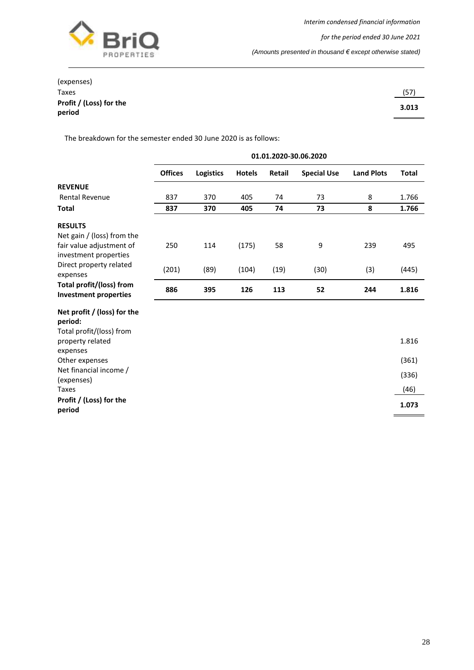

*(Amounts presented in thousand € except otherwise stated)*

| (expenses)              |       |
|-------------------------|-------|
| <b>Taxes</b>            | (57)  |
| Profit / (Loss) for the | 3.013 |
| period                  |       |

The breakdown for the semester ended 30 June 2020 is as follows:

|                                                          | 01.01.2020-30.06.2020 |                  |               |               |                    |                   |              |
|----------------------------------------------------------|-----------------------|------------------|---------------|---------------|--------------------|-------------------|--------------|
|                                                          | <b>Offices</b>        | <b>Logistics</b> | <b>Hotels</b> | <b>Retail</b> | <b>Special Use</b> | <b>Land Plots</b> | <b>Total</b> |
| <b>REVENUE</b>                                           |                       |                  |               |               |                    |                   |              |
| <b>Rental Revenue</b>                                    | 837                   | 370              | 405           | 74            | 73                 | 8                 | 1.766        |
| <b>Total</b>                                             | 837                   | 370              | 405           | 74            | 73                 | 8                 | 1.766        |
| <b>RESULTS</b>                                           |                       |                  |               |               |                    |                   |              |
| Net gain / (loss) from the                               |                       |                  |               |               |                    |                   |              |
| fair value adjustment of                                 | 250                   | 114              | (175)         | 58            | 9                  | 239               | 495          |
| investment properties                                    |                       |                  |               |               |                    |                   |              |
| Direct property related<br>expenses                      | (201)                 | (89)             | (104)         | (19)          | (30)               | (3)               | (445)        |
| Total profit/(loss) from<br><b>Investment properties</b> | 886                   | 395              | 126           | 113           | 52                 | 244               | 1.816        |
| Net profit / (loss) for the                              |                       |                  |               |               |                    |                   |              |
| period:                                                  |                       |                  |               |               |                    |                   |              |
| Total profit/(loss) from                                 |                       |                  |               |               |                    |                   |              |
| property related                                         |                       |                  |               |               |                    |                   | 1.816        |
| expenses                                                 |                       |                  |               |               |                    |                   |              |
| Other expenses                                           |                       |                  |               |               |                    |                   | (361)        |
| Net financial income /<br>(expenses)                     |                       |                  |               |               |                    |                   | (336)        |
| <b>Taxes</b>                                             |                       |                  |               |               |                    |                   | (46)         |
| Profit / (Loss) for the                                  |                       |                  |               |               |                    |                   |              |
| period                                                   |                       |                  |               |               |                    |                   | 1.073        |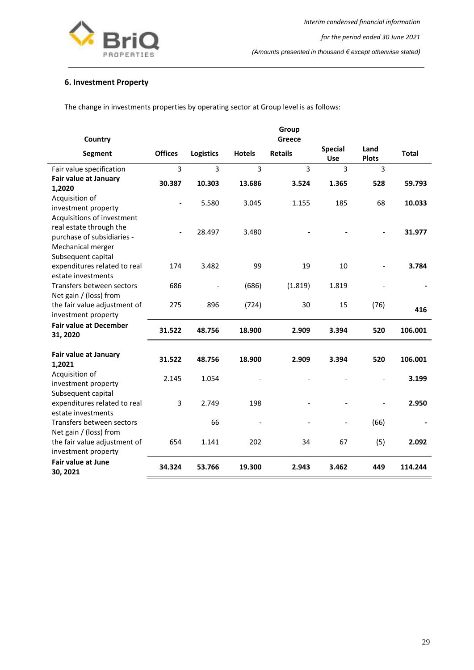

## <span id="page-29-0"></span>**6. Investment Property**

The change in investments properties by operating sector at Group level is as follows:

| Country                                                                       |                              |                  |               | Group<br>Greece |                              |                      |              |
|-------------------------------------------------------------------------------|------------------------------|------------------|---------------|-----------------|------------------------------|----------------------|--------------|
| Segment                                                                       | <b>Offices</b>               | <b>Logistics</b> | <b>Hotels</b> | <b>Retails</b>  | <b>Special</b><br><b>Use</b> | Land<br><b>Plots</b> | <b>Total</b> |
| Fair value specification                                                      | 3                            | 3                | 3             | $\overline{3}$  | 3                            | 3                    |              |
| Fair value at January<br>1,2020                                               | 30.387                       | 10.303           | 13.686        | 3.524           | 1.365                        | 528                  | 59.793       |
| Acquisition of<br>investment property<br>Acquisitions of investment           | $\qquad \qquad \blacksquare$ | 5.580            | 3.045         | 1.155           | 185                          | 68                   | 10.033       |
| real estate through the<br>purchase of subsidiaries -<br>Mechanical merger    |                              | 28.497           | 3.480         |                 |                              |                      | 31.977       |
| Subsequent capital<br>expenditures related to real<br>estate investments      | 174                          | 3.482            | 99            | 19              | 10                           |                      | 3.784        |
| Transfers between sectors                                                     | 686                          |                  | (686)         | (1.819)         | 1.819                        |                      |              |
| Net gain / (loss) from<br>the fair value adjustment of<br>investment property | 275                          | 896              | (724)         | 30              | 15                           | (76)                 | 416          |
| <b>Fair value at December</b><br>31, 2020                                     | 31.522                       | 48.756           | 18.900        | 2.909           | 3.394                        | 520                  | 106.001      |
| Fair value at January<br>1,2021                                               | 31.522                       | 48.756           | 18.900        | 2.909           | 3.394                        | 520                  | 106.001      |
| Acquisition of<br>investment property<br>Subsequent capital                   | 2.145                        | 1.054            |               |                 |                              |                      | 3.199        |
| expenditures related to real<br>estate investments                            | 3                            | 2.749            | 198           |                 |                              |                      | 2.950        |
| Transfers between sectors<br>Net gain / (loss) from                           |                              | 66               |               |                 |                              | (66)                 |              |
| the fair value adjustment of<br>investment property                           | 654                          | 1.141            | 202           | 34              | 67                           | (5)                  | 2.092        |
| <b>Fair value at June</b><br>30, 2021                                         | 34.324                       | 53.766           | 19.300        | 2.943           | 3.462                        | 449                  | 114.244      |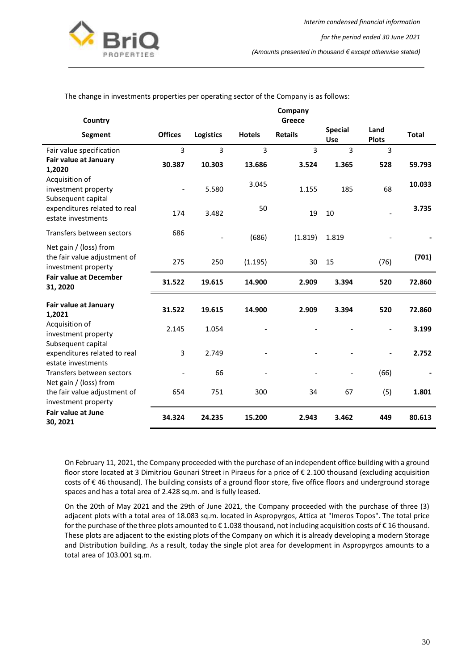

The change in investments properties per operating sector of the Company is as follows:

| Country                                                                       |                          |                  |               | Company<br>Greece |                              |                      |              |
|-------------------------------------------------------------------------------|--------------------------|------------------|---------------|-------------------|------------------------------|----------------------|--------------|
| <b>Segment</b>                                                                | <b>Offices</b>           | <b>Logistics</b> | <b>Hotels</b> | <b>Retails</b>    | <b>Special</b><br><b>Use</b> | Land<br><b>Plots</b> | <b>Total</b> |
| Fair value specification                                                      | 3                        | 3                | 3             | 3                 | 3                            | 3                    |              |
| Fair value at January<br>1,2020                                               | 30.387                   | 10.303           | 13.686        | 3.524             | 1.365                        | 528                  | 59.793       |
| Acquisition of<br>investment property<br>Subsequent capital                   | $\overline{\phantom{0}}$ | 5.580            | 3.045         | 1.155             | 185                          | 68                   | 10.033       |
| expenditures related to real<br>estate investments                            | 174                      | 3.482            | 50            | 19                | 10                           |                      | 3.735        |
| Transfers between sectors                                                     | 686                      |                  | (686)         | (1.819)           | 1.819                        |                      |              |
| Net gain / (loss) from<br>the fair value adjustment of<br>investment property | 275                      | 250              | (1.195)       | 30                | 15                           | (76)                 | (701)        |
| <b>Fair value at December</b><br>31, 2020                                     | 31.522                   | 19.615           | 14.900        | 2.909             | 3.394                        | 520                  | 72.860       |
| Fair value at January<br>1,2021                                               | 31.522                   | 19.615           | 14.900        | 2.909             | 3.394                        | 520                  | 72.860       |
| Acquisition of<br>investment property                                         | 2.145                    | 1.054            |               |                   |                              |                      | 3.199        |
| Subsequent capital<br>expenditures related to real<br>estate investments      | 3                        | 2.749            |               |                   |                              | $\overline{a}$       | 2.752        |
| Transfers between sectors<br>Net gain / (loss) from                           |                          | 66               |               |                   |                              | (66)                 |              |
| the fair value adjustment of<br>investment property                           | 654                      | 751              | 300           | 34                | 67                           | (5)                  | 1.801        |
| <b>Fair value at June</b><br>30, 2021                                         | 34.324                   | 24.235           | 15.200        | 2.943             | 3.462                        | 449                  | 80.613       |

On February 11, 2021, the Company proceeded with the purchase of an independent office building with a ground floor store located at 3 Dimitriou Gounari Street in Piraeus for a price of € 2.100 thousand (excluding acquisition costs of € 46 thousand). The building consists of a ground floor store, five office floors and underground storage spaces and has a total area of 2.428 sq.m. and is fully leased.

On the 20th of May 2021 and the 29th of June 2021, the Company proceeded with the purchase of three (3) adjacent plots with a total area of 18.083 sq.m. located in Aspropyrgos, Attica at "Imeros Topos". The total price for the purchase of the three plots amounted to € 1.038 thousand, not including acquisition costs of € 16 thousand. These plots are adjacent to the existing plots of the Company on which it is already developing a modern Storage and Distribution building. As a result, today the single plot area for development in Aspropyrgos amounts to a total area of 103.001 sq.m.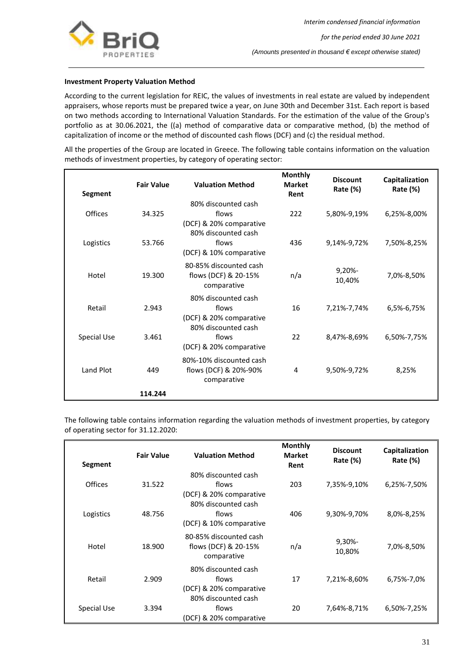

#### **Investment Property Valuation Method**

According to the current legislation for REIC, the values of investments in real estate are valued by independent appraisers, whose reports must be prepared twice a year, on June 30th and December 31st. Each report is based on two methods according to International Valuation Standards. For the estimation of the value of the Group's portfolio as at 30.06.2021, the ((a) method of comparative data or comparative method, (b) the method of capitalization of income or the method of discounted cash flows (DCF) and (c) the residual method.

All the properties of the Group are located in Greece. The following table contains information on the valuation methods of investment properties, by category of operating sector:

| Segment        | <b>Fair Value</b> | <b>Valuation Method</b>                                                        | <b>Monthly</b><br><b>Market</b><br>Rent | <b>Discount</b><br>Rate (%) | Capitalization<br>Rate $(\%)$ |
|----------------|-------------------|--------------------------------------------------------------------------------|-----------------------------------------|-----------------------------|-------------------------------|
| <b>Offices</b> | 34.325            | 80% discounted cash<br>flows<br>(DCF) & 20% comparative<br>80% discounted cash | 222                                     | 5,80%-9,19%                 | 6,25%-8,00%                   |
| Logistics      | 53.766            | flows<br>(DCF) & 10% comparative                                               | 436                                     | 9,14%-9,72%                 | 7,50%-8,25%                   |
| Hotel          | 19.300            | 80-85% discounted cash<br>flows (DCF) & 20-15%<br>comparative                  | n/a                                     | 9,20%<br>10,40%             | 7,0%-8,50%                    |
| Retail         | 2.943             | 80% discounted cash<br>flows<br>(DCF) & 20% comparative<br>80% discounted cash | 16                                      | 7,21%-7,74%                 | 6,5%-6,75%                    |
| Special Use    | 3.461             | flows<br>(DCF) & 20% comparative                                               | 22                                      | 8,47%-8,69%                 | 6,50%-7,75%                   |
| Land Plot      | 449               | 80%-10% discounted cash<br>flows (DCF) & 20%-90%<br>comparative                | 4                                       | 9,50%-9,72%                 | 8,25%                         |
|                | 114.244           |                                                                                |                                         |                             |                               |

The following table contains information regarding the valuation methods of investment properties, by category of operating sector for 31.12.2020:

| Segment        | <b>Fair Value</b> | <b>Valuation Method</b>                                                        | <b>Monthly</b><br><b>Market</b><br>Rent | <b>Discount</b><br>Rate (%) | Capitalization<br>Rate $(\%)$ |
|----------------|-------------------|--------------------------------------------------------------------------------|-----------------------------------------|-----------------------------|-------------------------------|
| <b>Offices</b> | 31.522            | 80% discounted cash<br>flows<br>(DCF) & 20% comparative<br>80% discounted cash | 203                                     | 7,35%-9,10%                 | 6,25%-7,50%                   |
| Logistics      | 48.756            | flows<br>(DCF) & 10% comparative                                               | 406                                     | 9,30%-9,70%                 | 8,0%-8,25%                    |
| Hotel          | 18.900            | 80-85% discounted cash<br>flows (DCF) & 20-15%<br>comparative                  | n/a                                     | 9,30%-<br>10,80%            | 7,0%-8,50%                    |
| Retail         | 2.909             | 80% discounted cash<br>flows<br>(DCF) & 20% comparative<br>80% discounted cash | 17                                      | 7,21%-8,60%                 | 6,75%-7,0%                    |
| Special Use    | 3.394             | flows<br>(DCF) & 20% comparative                                               | 20                                      | 7,64%-8,71%                 | 6,50%-7,25%                   |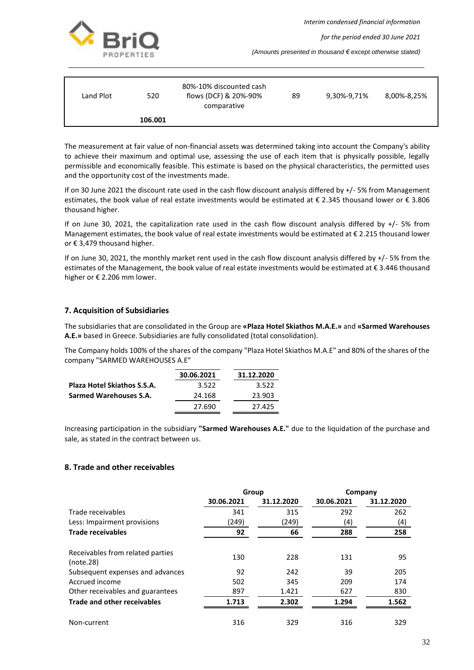*Interim condensed financial information*



*for the period ended 30 June 2021*

*(Amounts presented in thousand € except otherwise stated)*

| Land Plot | 520     | 80%-10% discounted cash<br>flows (DCF) & 20%-90%<br>comparative | 89 | 9,30%-9,71% | 8,00%-8,25% |
|-----------|---------|-----------------------------------------------------------------|----|-------------|-------------|
|           | 106.001 |                                                                 |    |             |             |

The measurement at fair value of non-financial assets was determined taking into account the Company's ability to achieve their maximum and optimal use, assessing the use of each item that is physically possible, legally permissible and economically feasible. This estimate is based on the physical characteristics, the permitted uses and the opportunity cost of the investments made.

If on 30 June 2021 the discount rate used in the cash flow discount analysis differed by +/- 5% from Management estimates, the book value of real estate investments would be estimated at € 2.345 thousand lower or € 3.806 thousand higher.

If on June 30, 2021, the capitalization rate used in the cash flow discount analysis differed by +/- 5% from Management estimates, the book value of real estate investments would be estimated at  $\epsilon$  2.215 thousand lower or € 3,479 thousand higher.

If on June 30, 2021, the monthly market rent used in the cash flow discount analysis differed by +/- 5% from the estimates of the Management, the book value of real estate investments would be estimated at € 3.446 thousand higher or € 2.206 mm lower.

## <span id="page-32-0"></span>**7. Acquisition of Subsidiaries**

The subsidiaries that are consolidated in the Group are **«Plaza Hotel Skiathos M.A.E.»** and **«Sarmed Warehouses A.E.»** based in Greece. Subsidiaries are fully consolidated (total consolidation).

The Company holds 100% of the shares of the company "Plaza Hotel Skiathos M.A.E" and 80% of the shares of the company "SARMED WAREHOUSES A.E"

|                                    | 30.06.2021 | 31.12.2020 |
|------------------------------------|------------|------------|
| <b>Plaza Hotel Skiathos S.S.A.</b> | 3.522      | 3.522      |
| Sarmed Warehouses S.A.             | 24.168     | 23.903     |
|                                    | 27.690     | 27.425     |
|                                    |            |            |

Increasing participation in the subsidiary **"Sarmed Warehouses A.E."** due to the liquidation of the purchase and sale, as stated in the contract between us.

## <span id="page-32-1"></span>**8. Trade and other receivables**

|                                               | Group      |            | Company    |            |
|-----------------------------------------------|------------|------------|------------|------------|
|                                               | 30.06.2021 | 31.12.2020 | 30.06.2021 | 31.12.2020 |
| Trade receivables                             | 341        | 315        | 292        | 262        |
| Less: Impairment provisions                   | (249)      | (249)      | (4)        | (4)        |
| <b>Trade receivables</b>                      | 92         | 66         | 288        | 258        |
| Receivables from related parties<br>(note.28) | 130        | 228        | 131        | 95         |
| Subsequent expenses and advances              | 92         | 242        | 39         | 205        |
| Accrued income                                | 502        | 345        | 209        | 174        |
| Other receivables and guarantees              | 897        | 1.421      | 627        | 830        |
| Trade and other receivables                   | 1.713      | 2.302      | 1.294      | 1.562      |
| Non-current                                   | 316        | 329        | 316        | 329        |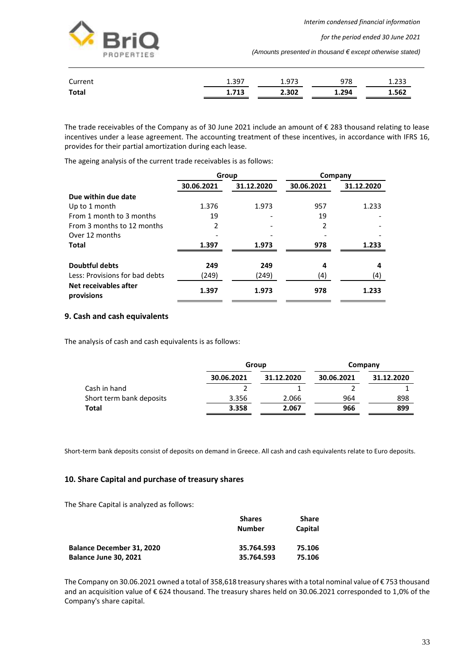*Interim condensed financial information*



*for the period ended 30 June 2021*

*(Amounts presented in thousand € except otherwise stated)*

| Current      | 1.397 | 1.973 | 978   | 1.233 |
|--------------|-------|-------|-------|-------|
| <b>Total</b> | 1.713 | 2.302 | 1.294 | 1.562 |

The trade receivables of the Company as of 30 June 2021 include an amount of € 283 thousand relating to lease incentives under a lease agreement. The accounting treatment of these incentives, in accordance with IFRS 16, provides for their partial amortization during each lease.

The ageing analysis of the current trade receivables is as follows:

|                                     |            | Group      | Company    |            |  |
|-------------------------------------|------------|------------|------------|------------|--|
|                                     | 30.06.2021 | 31.12.2020 | 30.06.2021 | 31.12.2020 |  |
| Due within due date                 |            |            |            |            |  |
| Up to 1 month                       | 1.376      | 1.973      | 957        | 1.233      |  |
| From 1 month to 3 months            | 19         |            | 19         |            |  |
| From 3 months to 12 months          | 2          |            | 2          |            |  |
| Over 12 months                      |            |            |            |            |  |
| Total                               | 1.397      | 1.973      | 978        | 1.233      |  |
| <b>Doubtful debts</b>               | 249        | 249        | 4          | 4          |  |
| Less: Provisions for bad debts      | (249)      | (249)      | (4)        | (4)        |  |
| Net receivables after<br>provisions | 1.397      | 1.973      | 978        | 1.233      |  |

## <span id="page-33-0"></span>**9. Cash and cash equivalents**

The analysis of cash and cash equivalents is as follows:

|                          | Group      |            | Company    |            |
|--------------------------|------------|------------|------------|------------|
|                          | 30.06.2021 | 31.12.2020 | 30.06.2021 | 31.12.2020 |
| Cash in hand             |            |            |            |            |
| Short term bank deposits | 3.356      | 2.066      | 964        | 898        |
| Total                    | 3.358      | 2.067      | 966        | 899        |

Short-term bank deposits consist of deposits on demand in Greece. All cash and cash equivalents relate to Euro deposits.

## <span id="page-33-1"></span>**10. Share Capital and purchase of treasury shares**

The Share Capital is analyzed as follows:

|                                  | <b>Shares</b> | Share   |
|----------------------------------|---------------|---------|
|                                  | <b>Number</b> | Capital |
| <b>Balance December 31, 2020</b> | 35.764.593    | 75.106  |
| <b>Balance June 30, 2021</b>     | 35.764.593    | 75.106  |

The Company on 30.06.2021 owned a total of 358,618 treasury shares with a total nominal value of € 753 thousand and an acquisition value of € 624 thousand. The treasury shares held on 30.06.2021 corresponded to 1,0% of the Company's share capital.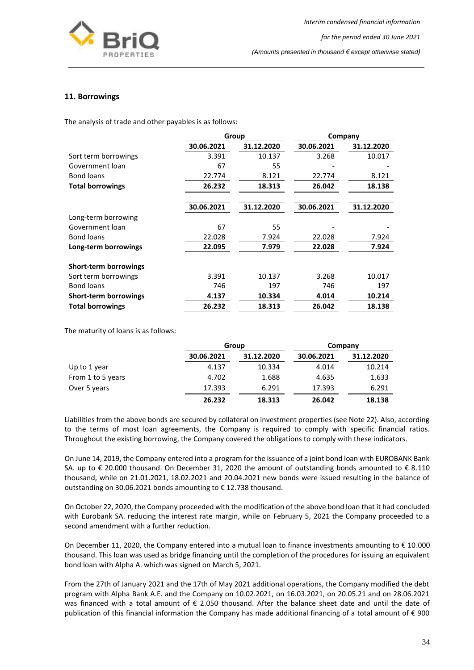

#### <span id="page-34-0"></span>**11. Borrowings**

The analysis of trade and other payables is as follows:

|                              | Group      |            | Company    |            |
|------------------------------|------------|------------|------------|------------|
|                              | 30.06.2021 | 31.12.2020 | 30.06.2021 | 31.12.2020 |
| Sort term borrowings         | 3.391      | 10.137     | 3.268      | 10.017     |
| Government loan              | 67         | 55         |            |            |
| Bond loans                   | 22.774     | 8.121      | 22.774     | 8.121      |
| <b>Total borrowings</b>      | 26.232     | 18.313     | 26.042     | 18.138     |
|                              |            |            |            |            |
|                              | 30.06.2021 | 31.12.2020 | 30.06.2021 | 31.12.2020 |
| Long-term borrowing          |            |            |            |            |
| Government loan              | 67         | 55         |            |            |
| Bond loans                   | 22.028     | 7.924      | 22.028     | 7.924      |
| Long-term borrowings         | 22.095     | 7.979      | 22.028     | 7.924      |
| <b>Short-term borrowings</b> |            |            |            |            |
| Sort term borrowings         | 3.391      | 10.137     | 3.268      | 10.017     |
| <b>Bond loans</b>            | 746        | 197        | 746        | 197        |
| <b>Short-term borrowings</b> | 4.137      | 10.334     | 4.014      | 10.214     |
| <b>Total borrowings</b>      | 26.232     | 18.313     | 26.042     | 18.138     |

The maturity of loans is as follows:

|                   |            | Group      |            | Company    |  |
|-------------------|------------|------------|------------|------------|--|
|                   | 30.06.2021 | 31.12.2020 | 30.06.2021 | 31.12.2020 |  |
| Up to 1 year      | 4.137      | 10.334     | 4.014      | 10.214     |  |
| From 1 to 5 years | 4.702      | 1.688      | 4.635      | 1.633      |  |
| Over 5 years      | 17.393     | 6.291      | 17.393     | 6.291      |  |
|                   | 26.232     | 18.313     | 26.042     | 18.138     |  |

Liabilities from the above bonds are secured by collateral on investment properties (see Note 22). Also, according to the terms of most loan agreements, the Company is required to comply with specific financial ratios. Throughout the existing borrowing, the Company covered the obligations to comply with these indicators.

On June 14, 2019, the Company entered into a program for the issuance of a joint bond loan with EUROBANK Bank SA. up to € 20.000 thousand. On December 31, 2020 the amount of outstanding bonds amounted to € 8.110 thousand, while on 21.01.2021, 18.02.2021 and 20.04.2021 new bonds were issued resulting in the balance of outstanding on 30.06.2021 bonds amounting to € 12.738 thousand.

On October 22, 2020, the Company proceeded with the modification of the above bond loan that it had concluded with Eurobank SA. reducing the interest rate margin, while on February 5, 2021 the Company proceeded to a second amendment with a further reduction.

On December 11, 2020, the Company entered into a mutual loan to finance investments amounting to € 10.000 thousand. This loan was used as bridge financing until the completion of the procedures for issuing an equivalent bond loan with Alpha A. which was signed on March 5, 2021.

From the 27th of January 2021 and the 17th of May 2021 additional operations, the Company modified the debt program with Alpha Bank A.E. and the Company on 10.02.2021, on 16.03.2021, on 20.05.21 and on 28.06.2021 was financed with a total amount of € 2.050 thousand. After the balance sheet date and until the date of publication of this financial information the Company has made additional financing of a total amount of € 900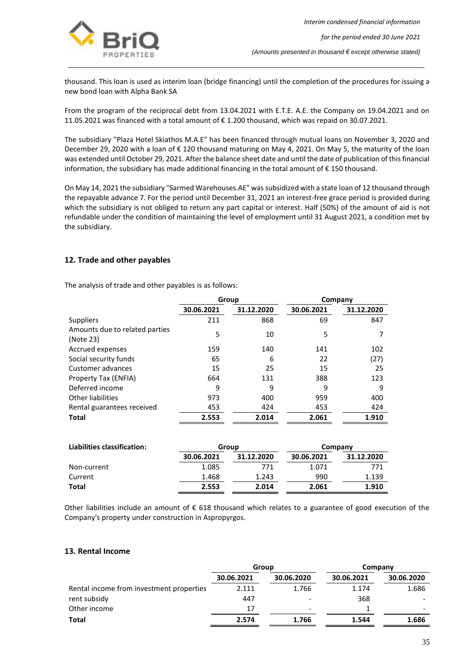

thousand. This loan is used as interim loan (bridge financing) until the completion of the procedures for issuing a new bond loan with Alpha Bank SA

From the program of the reciprocal debt from 13.04.2021 with Ε.Τ.Ε. A.E. the Company on 19.04.2021 and on 11.05.2021 was financed with a total amount of € 1.200 thousand, which was repaid on 30.07.2021.

The subsidiary "Plaza Hotel Skiathos M.A.E" has been financed through mutual loans on November 3, 2020 and December 29, 2020 with a loan of € 120 thousand maturing on May 4, 2021. On May 5, the maturity of the loan was extended until October 29, 2021. After the balance sheet date and until the date of publication of this financial information, the subsidiary has made additional financing in the total amount of € 150 thousand.

On May 14, 2021 the subsidiary "Sarmed Warehouses.AE" was subsidized with a state loan of 12 thousand through the repayable advance 7. For the period until December 31, 2021 an interest-free grace period is provided during which the subsidiary is not obliged to return any part capital or interest. Half (50%) of the amount of aid is not refundable under the condition of maintaining the level of employment until 31 August 2021, a condition met by the subsidiary.

## <span id="page-35-0"></span>**12. Trade and other payables**

The analysis of trade and other payables is as follows:

|                                             | Group      |            | Company    |            |
|---------------------------------------------|------------|------------|------------|------------|
|                                             | 30.06.2021 | 31.12.2020 | 30.06.2021 | 31.12.2020 |
| <b>Suppliers</b>                            | 211        | 868        | 69         | 847        |
| Amounts due to related parties<br>(Note 23) | 5          | 10         | 5          |            |
| Accrued expenses                            | 159        | 140        | 141        | 102        |
| Social security funds                       | 65         | 6          | 22         | (27)       |
| Customer advances                           | 15         | 25         | 15         | 25         |
| Property Tax (ENFIA)                        | 664        | 131        | 388        | 123        |
| Deferred income                             | 9          | 9          | 9          | 9          |
| Other liabilities                           | 973        | 400        | 959        | 400        |
| Rental guarantees received                  | 453        | 424        | 453        | 424        |
| <b>Total</b>                                | 2.553      | 2.014      | 2.061      | 1.910      |

| Liabilities classification: |            | Group      |            | Company    |  |  |
|-----------------------------|------------|------------|------------|------------|--|--|
|                             | 30.06.2021 | 31.12.2020 | 30.06.2021 | 31.12.2020 |  |  |
| Non-current                 | 1.085      | 771        | 1.071      | 771        |  |  |
| Current                     | 1.468      | 1.243      | 990        | 1.139      |  |  |
| Total                       | 2.553      | 2.014      | 2.061      | 1.910      |  |  |

Other liabilities include an amount of € 618 thousand which relates to a guarantee of good execution of the Company's property under construction in Aspropyrgos.

#### <span id="page-35-1"></span>**13. Rental Income**

|                                          | Group      |                          | Company    |                          |
|------------------------------------------|------------|--------------------------|------------|--------------------------|
|                                          | 30.06.2021 | 30.06.2020               | 30.06.2021 | 30.06.2020               |
| Rental income from investment properties | 2.111      | 1.766                    | 1.174      | 1.686                    |
| rent subsidy                             | 447        | ٠                        | 368        |                          |
| Other income                             | 17         | $\overline{\phantom{0}}$ |            | $\overline{\phantom{0}}$ |
| Total                                    | 2.574      | 1.766                    | 1.544      | 1.686                    |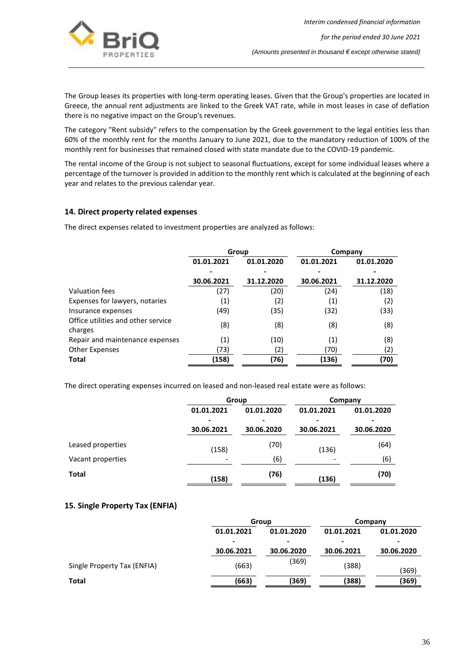

The Group leases its properties with long-term operating leases. Given that the Group's properties are located in Greece, the annual rent adjustments are linked to the Greek VAT rate, while in most leases in case of deflation there is no negative impact on the Group's revenues.

The category "Rent subsidy" refers to the compensation by the Greek government to the legal entities less than 60% of the monthly rent for the months January to June 2021, due to the mandatory reduction of 100% of the monthly rent for businesses that remained closed with state mandate due to the COVID-19 pandemic.

The rental income of the Group is not subject to seasonal fluctuations, except for some individual leases where a percentage of the turnover is provided in addition to the monthly rent which is calculated at the beginning of each year and relates to the previous calendar year.

#### <span id="page-36-0"></span>**14. Direct property related expenses**

The direct expenses related to investment properties are analyzed as follows:

|                                               | Group      |            | Company    |            |
|-----------------------------------------------|------------|------------|------------|------------|
|                                               | 01.01.2021 | 01.01.2020 | 01.01.2021 | 01.01.2020 |
|                                               |            |            |            |            |
|                                               | 30.06.2021 | 31.12.2020 | 30.06.2021 | 31.12.2020 |
| Valuation fees                                | (27)       | (20)       | (24)       | (18)       |
| Expenses for lawyers, notaries                | (1)        | (2)        | (1)        | (2)        |
| Insurance expenses                            | (49)       | (35)       | (32)       | (33)       |
| Office utilities and other service<br>charges | (8)        | (8)        | (8)        | (8)        |
| Repair and maintenance expenses               | (1)        | (10)       | (1)        | (8)        |
| <b>Other Expenses</b>                         | (73)       | (2)        | (70)       | (2)        |
| <b>Total</b>                                  | (158)      | (76)       | (136)      | (70)       |

The direct operating expenses incurred on leased and non-leased real estate were as follows:

|                   |                          | Group      |            | Company    |  |
|-------------------|--------------------------|------------|------------|------------|--|
|                   | 01.01.2021               | 01.01.2020 | 01.01.2021 | 01.01.2020 |  |
|                   | -                        | -          |            |            |  |
|                   | 30.06.2021               | 30.06.2020 | 30.06.2021 | 30.06.2020 |  |
| Leased properties | (158)                    | (70)       | (136)      | (64)       |  |
| Vacant properties | $\overline{\phantom{a}}$ | (6)        |            | (6)        |  |
| <b>Total</b>      | (158)                    | (76)       | (136)      | (70)       |  |

#### <span id="page-36-1"></span>**15. Single Property Tax (ENFIA)**

|                             | Group      |            | Company    |            |
|-----------------------------|------------|------------|------------|------------|
|                             | 01.01.2021 | 01.01.2020 | 01.01.2021 | 01.01.2020 |
|                             | -          | $\,$       |            |            |
|                             | 30.06.2021 | 30.06.2020 | 30.06.2021 | 30.06.2020 |
| Single Property Tax (ENFIA) | (663)      | (369)      | (388)      | (369)      |
| <b>Total</b>                | (663)      | (369)      | (388)      | (369)      |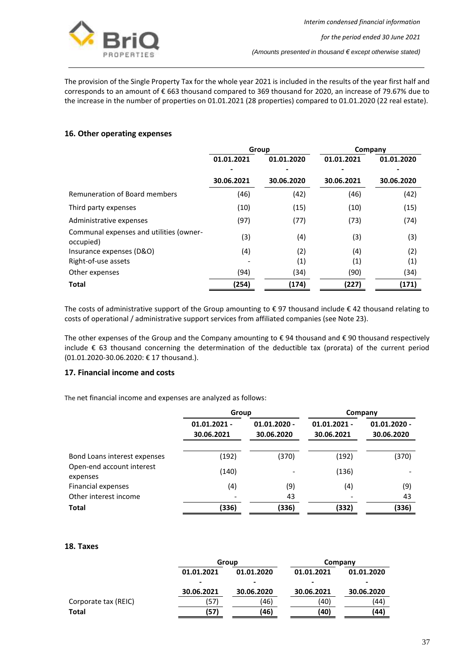

The provision of the Single Property Tax for the whole year 2021 is included in the results of the year first half and corresponds to an amount of € 663 thousand compared to 369 thousand for 2020, an increase of 79.67% due to the increase in the number of properties on 01.01.2021 (28 properties) compared to 01.01.2020 (22 real estate).

## <span id="page-37-0"></span>**16. Other operating expenses**

|                                                      | Group      |                   | Company    |            |
|------------------------------------------------------|------------|-------------------|------------|------------|
|                                                      | 01.01.2021 | 01.01.2020        | 01.01.2021 | 01.01.2020 |
|                                                      | ٠          |                   |            |            |
|                                                      | 30.06.2021 | 30.06.2020        | 30.06.2021 | 30.06.2020 |
| Remuneration of Board members                        | (46)       | (42)              | (46)       | (42)       |
| Third party expenses                                 | (10)       | (15)              | (10)       | (15)       |
| Administrative expenses                              | (97)       | (77)              | (73)       | (74)       |
| Communal expenses and utilities (owner-<br>occupied) | (3)        | (4)               | (3)        | (3)        |
| Insurance expenses (D&O)                             | (4)        | (2)               | (4)        | (2)        |
| Right-of-use assets                                  |            | $\left( 1\right)$ | (1)        | (1)        |
| Other expenses                                       | (94)       | (34)              | (90)       | (34)       |
| <b>Total</b>                                         | (254)      | (174)             | (227)      | (171)      |

The costs of administrative support of the Group amounting to € 97 thousand include € 42 thousand relating to costs of operational / administrative support services from affiliated companies (see Note 23).

The other expenses of the Group and the Company amounting to € 94 thousand and € 90 thousand respectively include € 63 thousand concerning the determination of the deductible tax (prorata) of the current period (01.01.2020-30.06.2020: € 17 thousand.).

## <span id="page-37-1"></span>**17. Financial income and costs**

The net financial income and expenses are analyzed as follows:

|                                       | Group                        |                              | Company                      |                              |
|---------------------------------------|------------------------------|------------------------------|------------------------------|------------------------------|
|                                       | $01.01.2021 -$<br>30.06.2021 | $01.01.2020 -$<br>30.06.2020 | $01.01.2021 -$<br>30.06.2021 | $01.01.2020 -$<br>30.06.2020 |
| Bond Loans interest expenses          | (192)                        | (370)                        | (192)                        | (370)                        |
| Open-end account interest<br>expenses | (140)                        |                              | (136)                        |                              |
| <b>Financial expenses</b>             | (4)                          | (9)                          | (4)                          | (9)                          |
| Other interest income                 |                              | 43                           |                              | 43                           |
| <b>Total</b>                          | (336)                        | (336)                        | (332)                        | (336)                        |

## <span id="page-37-2"></span>**18. Taxes**

|                      | Group      |            | Company    |            |
|----------------------|------------|------------|------------|------------|
|                      | 01.01.2021 | 01.01.2020 | 01.01.2021 | 01.01.2020 |
|                      | -          |            |            |            |
|                      | 30.06.2021 | 30.06.2020 | 30.06.2021 | 30.06.2020 |
| Corporate tax (REIC) | 57)        | (46)       | (40)       | (44)       |
| <b>Total</b>         | (57)       | (46)       | (40)       | (44)       |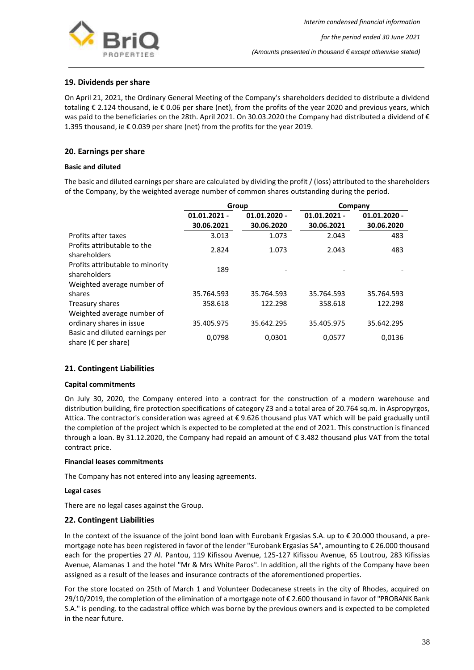

## <span id="page-38-0"></span>**19. Dividends per share**

On April 21, 2021, the Ordinary General Meeting of the Company's shareholders decided to distribute a dividend totaling € 2.124 thousand, ie € 0.06 per share (net), from the profits of the year 2020 and previous years, which was paid to the beneficiaries on the 28th. April 2021. On 30.03.2020 the Company had distributed a dividend of € 1.395 thousand, ie € 0.039 per share (net) from the profits for the year 2019.

## <span id="page-38-1"></span>**20. Earnings per share**

#### **Basic and diluted**

The basic and diluted earnings per share are calculated by dividing the profit / (loss) attributed to the shareholders of the Company, by the weighted average number of common shares outstanding during the period.

|                                                                 | Group          |                |                | Company        |
|-----------------------------------------------------------------|----------------|----------------|----------------|----------------|
|                                                                 | $01.01.2021 -$ | $01.01.2020 -$ | $01.01.2021 -$ | $01.01.2020 -$ |
|                                                                 | 30.06.2021     | 30.06.2020     | 30.06.2021     | 30.06.2020     |
| Profits after taxes                                             | 3.013          | 1.073          | 2.043          | 483            |
| Profits attributable to the<br>shareholders                     | 2.824          | 1.073          | 2.043          | 483            |
| Profits attributable to minority<br>shareholders                | 189            |                |                |                |
| Weighted average number of                                      |                |                |                |                |
| shares                                                          | 35.764.593     | 35.764.593     | 35.764.593     | 35.764.593     |
| Treasury shares                                                 | 358.618        | 122.298        | 358.618        | 122.298        |
| Weighted average number of                                      |                |                |                |                |
| ordinary shares in issue                                        | 35.405.975     | 35.642.295     | 35.405.975     | 35.642.295     |
| Basic and diluted earnings per<br>share ( $\epsilon$ per share) | 0.0798         | 0,0301         | 0,0577         | 0,0136         |

## <span id="page-38-2"></span>**21. Contingent Liabilities**

#### **Capital commitments**

On July 30, 2020, the Company entered into a contract for the construction of a modern warehouse and distribution building, fire protection specifications of category Z3 and a total area of 20.764 sq.m. in Aspropyrgos, Attica. The contractor's consideration was agreed at € 9.626 thousand plus VAT which will be paid gradually until the completion of the project which is expected to be completed at the end of 2021. This construction is financed through a loan. By 31.12.2020, the Company had repaid an amount of € 3.482 thousand plus VAT from the total contract price.

#### **Financial leases commitments**

The Company has not entered into any leasing agreements.

#### **Legal cases**

There are no legal cases against the Group.

#### <span id="page-38-3"></span>**22. Contingent Liabilities**

In the context of the issuance of the joint bond loan with Eurobank Ergasias S.A. up to  $\epsilon$  20.000 thousand, a premortgage note has been registered in favor of the lender "Eurobank Ergasias SA", amounting to € 26.000 thousand each for the properties 27 Al. Pantou, 119 Kifissou Avenue, 125-127 Kifissou Avenue, 65 Loutrou, 283 Kifissias Avenue, Alamanas 1 and the hotel "Mr & Mrs White Paros". In addition, all the rights of the Company have been assigned as a result of the leases and insurance contracts of the aforementioned properties.

For the store located on 25th of March 1 and Volunteer Dodecanese streets in the city of Rhodes, acquired on 29/10/2019, the completion of the elimination of a mortgage note of € 2.600 thousand in favor of "PROBANK Bank S.A." is pending. to the cadastral office which was borne by the previous owners and is expected to be completed in the near future.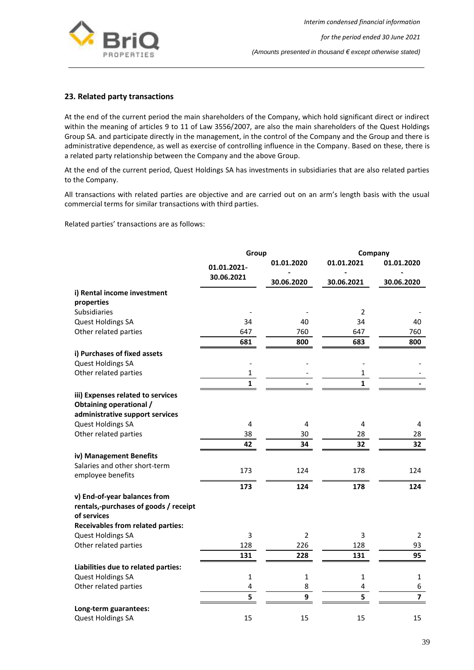

## <span id="page-39-0"></span>**23. Related party transactions**

At the end of the current period the main shareholders of the Company, which hold significant direct or indirect within the meaning of articles 9 to 11 of Law 3556/2007, are also the main shareholders of the Quest Holdings Group SA. and participate directly in the management, in the control of the Company and the Group and there is administrative dependence, as well as exercise of controlling influence in the Company. Based on these, there is a related party relationship between the Company and the above Group.

At the end of the current period, Quest Holdings SA has investments in subsidiaries that are also related parties to the Company.

All transactions with related parties are objective and are carried out on an arm's length basis with the usual commercial terms for similar transactions with third parties.

Related parties' transactions are as follows:

|                                                                     | Group        |                | Company      |                         |
|---------------------------------------------------------------------|--------------|----------------|--------------|-------------------------|
|                                                                     | 01.01.2021-  | 01.01.2020     | 01.01.2021   | 01.01.2020              |
|                                                                     | 30.06.2021   | 30.06.2020     | 30.06.2021   | 30.06.2020              |
| i) Rental income investment                                         |              |                |              |                         |
| properties                                                          |              |                |              |                         |
| Subsidiaries                                                        |              |                | 2            |                         |
| Quest Holdings SA                                                   | 34           | 40             | 34           | 40                      |
| Other related parties                                               | 647          | 760            | 647          | 760                     |
|                                                                     | 681          | 800            | 683          | 800                     |
| i) Purchases of fixed assets                                        |              |                |              |                         |
| Quest Holdings SA                                                   |              |                |              |                         |
| Other related parties                                               | 1            |                | 1            |                         |
|                                                                     | $\mathbf{1}$ |                | 1            |                         |
| iii) Expenses related to services<br><b>Obtaining operational /</b> |              |                |              |                         |
| administrative support services                                     | 4            | 4              | 4            |                         |
| Quest Holdings SA<br>Other related parties                          | 38           | 30             | 28           | 4<br>28                 |
|                                                                     | 42           | 34             | 32           | 32                      |
|                                                                     |              |                |              |                         |
| iv) Management Benefits                                             |              |                |              |                         |
| Salaries and other short-term<br>employee benefits                  | 173          | 124            | 178          | 124                     |
|                                                                     | 173          | 124            | 178          | 124                     |
| v) End-of-year balances from                                        |              |                |              |                         |
| rentals,-purchases of goods / receipt<br>of services                |              |                |              |                         |
| <b>Receivables from related parties:</b>                            |              |                |              |                         |
| Quest Holdings SA                                                   | 3            | $\overline{2}$ | 3            | $\overline{2}$          |
| Other related parties                                               | 128          | 226            | 128          | 93                      |
|                                                                     | 131          | 228            | 131          | 95                      |
| Liabilities due to related parties:                                 |              |                |              |                         |
| Quest Holdings SA                                                   | 1            | 1              | $\mathbf{1}$ | 1                       |
| Other related parties                                               | 4            | 8              | 4            | 6                       |
|                                                                     | 5            | 9              | 5            | $\overline{\mathbf{z}}$ |
| Long-term guarantees:                                               |              |                |              |                         |
| Quest Holdings SA                                                   | 15           | 15             | 15           | 15                      |